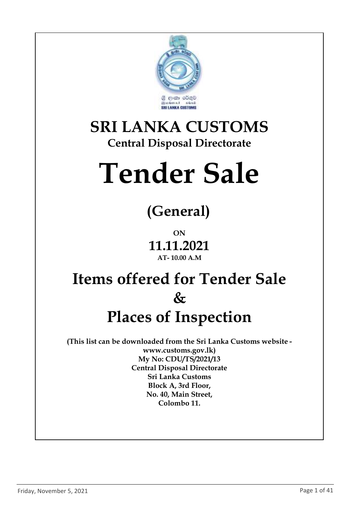

### **SRI LANKA CUSTOMS Central Disposal Directorate**

# **Tender Sale**

# **(General)**

**ON 11.11.2021 AT- 10.00 A.M**

## **Items offered for Tender Sale & Places of Inspection**

**(This list can be downloaded from the Sri Lanka Customs website www.customs.gov.lk) My No: CDU/TS/2021/13 Central Disposal Directorate Sri Lanka Customs Block A, 3rd Floor, No. 40, Main Street, Colombo 11.**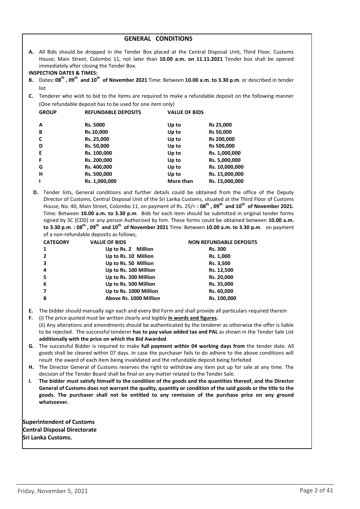| <b>GENERAL CONDITIONS</b> |  |
|---------------------------|--|
|---------------------------|--|

**A.** All Bids should be dropped in the Tender Box placed at the Central Disposal Unit, Third Floor, Customs House; Main Street, Colombo 11, not later than **10.00 a.m. on 11.11.2021** Tender box shall be opened immediately after closing the Tender Box.

**INSPECTION DATES & TIMES:**

- **B.** Dates**: 08th , 09th and 10 th of November 2021** Time: Between **10.00 a.m. to 3.30 p.m**. or described in tender list
- **C.** Tenderer who wish to bid to the items are required to make a refundable deposit on the following manner (One refundable deposit has to be used for one item only)

| <b>GROUP</b> | <b>REFUNDABLE DEPOSITS</b> | <b>VALUE OF BIDS</b> |                  |
|--------------|----------------------------|----------------------|------------------|
| A            | <b>Rs. 5000</b>            | Up to                | Rs 25,000        |
| В            | Rs.10,000                  | Up to                | <b>Rs 50,000</b> |
| C            | Rs. 25,000                 | Up to                | Rs 200,000       |
| D            | Rs. 50,000                 | Up to                | Rs 500,000       |
| Е            | Rs. 100,000                | Up to                | Rs. 1,000,000    |
| F            | Rs. 200,000                | Up to                | Rs. 5,000,000    |
| G            | Rs. 400,000                | Up to                | Rs. 10,000,000   |
| н            | Rs. 500,000                | Up to                | Rs. 15,000,000   |
| т            | Rs. 1,000,000              | More than            | Rs. 15,000,000   |
|              |                            |                      |                  |

**D.** Tender lists, General conditions and further details could be obtained from the office of the Deputy Director of Customs, Central Disposal Unit of the Sri Lanka Customs, situated at the Third Floor of Customs House, No. 40, Main Street, Colombo 11, on payment of Rs. 25/= **: 08th , 09th and 10 th of November 2021.**  Time: Between **10.00 a.m. to 3.30 p.m**. Bids for each item should be submitted in original tender forms signed by SC (CDD) or any person Authorized by him. These forms could be obtained between **10.00 a.m. to 3.30 p.m**. **: 08th , 09th and 10 th of November 2021** Time: Between **10.00 a.m. to 3.30 p.m**. on payment of a non-refundable deposits as follows,

| <b>CATEGORY</b> | <b>VALUE OF BIDS</b>   | <b>NON REFUNDABLE DEPOSITS</b> |
|-----------------|------------------------|--------------------------------|
| 1               | Up to Rs. 2 Million    | <b>Rs. 300</b>                 |
| $\overline{2}$  | Up to Rs. 10 Million   | Rs. 1,000                      |
| 3               | Up to Rs. 50 Million   | Rs. 3,500                      |
| 4               | Up to Rs. 100 Million  | Rs. 12,500                     |
| 5               | Up to Rs. 200 Million  | Rs. 20,000                     |
| 6               | Up to Rs. 500 Million  | Rs. 35,000                     |
| 7               | Up to Rs. 1000 Million | Rs. 60,000                     |
| 8               | Above Rs. 1000 Million | Rs. 100,000                    |

- **E.** The bidder should manually sign each and every Bid Form and shall provide all particulars required therein
- **F.** (i) The price quoted must be written clearly and legibly **in words and figures.** (ii) Any alterations and amendments should be authenticated by the tenderer as otherwise the offer is liable to be rejected. The successful tenderer **has to pay value added tax and PAL** as shown in the Tender Sale List **additionally with the price on which the Bid Awarded**.
- **G.** The successful Bidder is required to make **full payment within 04 working days from** the tender date. All goods shall be cleared within 07 days. In case the purchaser fails to do adhere to the above conditions will result the award of each item being invalidated and the refundable deposit being forfeited
- **H.** The Director General of Customs reserves the right to withdraw any item put up for sale at any time. The decision of the Tender Board shall be final on any matter related to the Tender Sale.
- **I. The bidder must satisfy himself to the condition of the goods and the quantities thereof, and the Director General of Customs does not warrant the quality, quantity or condition of the said goods or the title to the goods. The purchaser shall not be entitled to any remission of the purchase price on any ground whatsoever.**

**Superintendent of Customs Central Disposal Directorate Sri Lanka Customs.**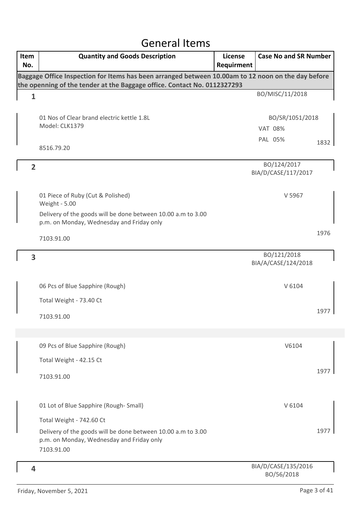#### General Items

| Item<br>No.    | <b>Quantity and Goods Description</b>                                                                                     | License<br>Requirment | <b>Case No and SR Number</b>       |      |
|----------------|---------------------------------------------------------------------------------------------------------------------------|-----------------------|------------------------------------|------|
|                | Baggage Office Inspection for Items has been arranged between 10.00am to 12 noon on the day before                        |                       |                                    |      |
|                | the openning of the tender at the Baggage office. Contact No. 0112327293                                                  |                       | BO/MISC/11/2018                    |      |
| $\mathbf{1}$   |                                                                                                                           |                       |                                    |      |
|                | 01 Nos of Clear brand electric kettle 1.8L                                                                                |                       | BO/SR/1051/2018                    |      |
|                | Model: CLK1379                                                                                                            |                       | <b>VAT 08%</b>                     |      |
|                |                                                                                                                           |                       | PAL 05%                            | 1832 |
|                | 8516.79.20                                                                                                                |                       |                                    |      |
| $\overline{2}$ |                                                                                                                           |                       | BO/124/2017<br>BIA/D/CASE/117/2017 |      |
|                | 01 Piece of Ruby (Cut & Polished)<br><b>Weight - 5.00</b><br>Delivery of the goods will be done between 10.00 a.m to 3.00 |                       | V 5967                             |      |
|                | p.m. on Monday, Wednesday and Friday only                                                                                 |                       |                                    |      |
|                | 7103.91.00                                                                                                                |                       |                                    | 1976 |
| 3              |                                                                                                                           |                       | BO/121/2018<br>BIA/A/CASE/124/2018 |      |
|                | 06 Pcs of Blue Sapphire (Rough)                                                                                           |                       | V 6104                             |      |
|                | Total Weight - 73.40 Ct                                                                                                   |                       |                                    |      |
|                | 7103.91.00                                                                                                                |                       |                                    | 197  |
|                | 09 Pcs of Blue Sapphire (Rough)                                                                                           |                       | V6104                              |      |
|                | Total Weight - 42.15 Ct                                                                                                   |                       |                                    |      |
|                | 7103.91.00                                                                                                                |                       |                                    | 1977 |
|                | 01 Lot of Blue Sapphire (Rough-Small)                                                                                     |                       | V 6104                             |      |
|                | Total Weight - 742.60 Ct                                                                                                  |                       |                                    |      |
|                | Delivery of the goods will be done between 10.00 a.m to 3.00<br>p.m. on Monday, Wednesday and Friday only<br>7103.91.00   |                       |                                    | 1977 |
| 4              |                                                                                                                           |                       | BIA/D/CASE/135/2016<br>BO/56/2018  |      |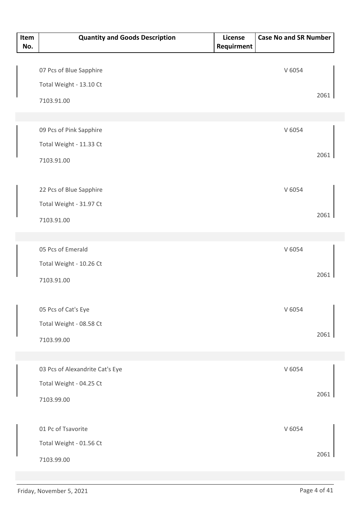| Item<br>No. | <b>Quantity and Goods Description</b> | License<br>Requirment | <b>Case No and SR Number</b> |      |
|-------------|---------------------------------------|-----------------------|------------------------------|------|
|             |                                       |                       |                              |      |
|             | 07 Pcs of Blue Sapphire               |                       | V 6054                       |      |
|             | Total Weight - 13.10 Ct               |                       |                              |      |
|             | 7103.91.00                            |                       |                              | 2061 |
|             |                                       |                       |                              |      |
|             | 09 Pcs of Pink Sapphire               |                       | V 6054                       |      |
|             | Total Weight - 11.33 Ct               |                       |                              |      |
|             | 7103.91.00                            |                       |                              | 2061 |
|             |                                       |                       |                              |      |
|             | 22 Pcs of Blue Sapphire               |                       | V 6054                       |      |
|             | Total Weight - 31.97 Ct               |                       |                              |      |
|             | 7103.91.00                            |                       |                              | 2061 |
|             |                                       |                       |                              |      |
|             | 05 Pcs of Emerald                     |                       | V 6054                       |      |
|             | Total Weight - 10.26 Ct               |                       |                              |      |
|             | 7103.91.00                            |                       |                              | 2061 |
|             |                                       |                       |                              |      |
|             | 05 Pcs of Cat's Eye                   |                       | V 6054                       |      |
|             | Total Weight - 08.58 Ct               |                       |                              |      |
|             | 7103.99.00                            |                       |                              | 2061 |
|             |                                       |                       |                              |      |
|             | 03 Pcs of Alexandrite Cat's Eye       |                       | V 6054                       |      |
|             | Total Weight - 04.25 Ct               |                       |                              |      |
|             | 7103.99.00                            |                       |                              | 2061 |
|             | 01 Pc of Tsavorite                    |                       | V 6054                       |      |
|             | Total Weight - 01.56 Ct               |                       |                              |      |
|             |                                       |                       |                              | 2061 |
|             | 7103.99.00                            |                       |                              |      |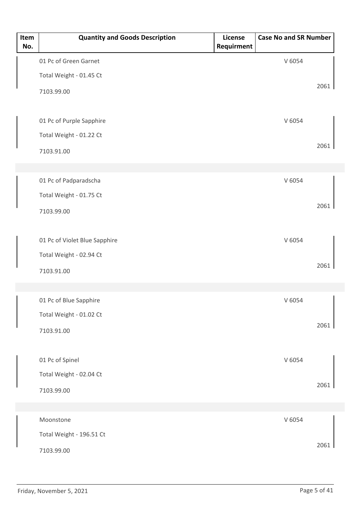| Item<br>No. | <b>Quantity and Goods Description</b> | License<br>Requirment | <b>Case No and SR Number</b> |      |
|-------------|---------------------------------------|-----------------------|------------------------------|------|
|             | 01 Pc of Green Garnet                 |                       | V 6054                       |      |
|             | Total Weight - 01.45 Ct               |                       |                              |      |
|             | 7103.99.00                            |                       |                              | 2061 |
|             |                                       |                       |                              |      |
|             | 01 Pc of Purple Sapphire              |                       | V 6054                       |      |
|             | Total Weight - 01.22 Ct               |                       |                              |      |
|             | 7103.91.00                            |                       |                              | 2061 |
|             |                                       |                       |                              |      |
|             | 01 Pc of Padparadscha                 |                       | V 6054                       |      |
|             | Total Weight - 01.75 Ct               |                       |                              | 2061 |
|             | 7103.99.00                            |                       |                              |      |
|             |                                       |                       |                              |      |
|             | 01 Pc of Violet Blue Sapphire         |                       | V 6054                       |      |
|             | Total Weight - 02.94 Ct               |                       |                              | 2061 |
|             | 7103.91.00                            |                       |                              |      |
|             |                                       |                       |                              |      |
|             | 01 Pc of Blue Sapphire                |                       | V 6054                       |      |
|             | Total Weight - 01.02 Ct               |                       |                              | 2061 |
|             | 7103.91.00                            |                       |                              |      |
|             | 01 Pc of Spinel                       |                       | V 6054                       |      |
|             | Total Weight - 02.04 Ct               |                       |                              |      |
|             | 7103.99.00                            |                       |                              | 2061 |
|             |                                       |                       |                              |      |
|             | Moonstone                             |                       | V 6054                       |      |
|             | Total Weight - 196.51 Ct              |                       |                              |      |
|             | 7103.99.00                            |                       |                              | 2061 |
|             |                                       |                       |                              |      |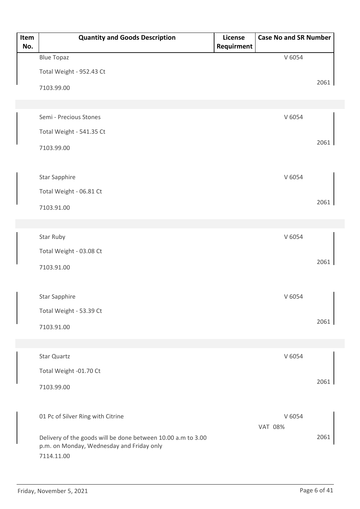| Item<br>No. | <b>Quantity and Goods Description</b>                                                                     | License<br>Requirment | <b>Case No and SR Number</b> |      |
|-------------|-----------------------------------------------------------------------------------------------------------|-----------------------|------------------------------|------|
|             | <b>Blue Topaz</b>                                                                                         |                       | V 6054                       |      |
|             | Total Weight - 952.43 Ct                                                                                  |                       |                              |      |
|             | 7103.99.00                                                                                                |                       |                              | 2061 |
|             |                                                                                                           |                       |                              |      |
|             | Semi - Precious Stones                                                                                    |                       | V 6054                       |      |
|             | Total Weight - 541.35 Ct                                                                                  |                       |                              |      |
|             | 7103.99.00                                                                                                |                       |                              | 2061 |
|             |                                                                                                           |                       |                              |      |
|             | <b>Star Sapphire</b>                                                                                      |                       | V 6054                       |      |
|             | Total Weight - 06.81 Ct                                                                                   |                       |                              |      |
|             | 7103.91.00                                                                                                |                       |                              | 2061 |
|             |                                                                                                           |                       |                              |      |
|             | Star Ruby                                                                                                 |                       | V 6054                       |      |
|             | Total Weight - 03.08 Ct                                                                                   |                       |                              |      |
|             | 7103.91.00                                                                                                |                       |                              | 2061 |
|             |                                                                                                           |                       |                              |      |
|             | <b>Star Sapphire</b>                                                                                      |                       | V 6054                       |      |
|             | Total Weight - 53.39 Ct                                                                                   |                       |                              |      |
|             | 7103.91.00                                                                                                |                       |                              | 2061 |
|             |                                                                                                           |                       |                              |      |
|             | Star Quartz                                                                                               |                       | V 6054                       |      |
|             | Total Weight -01.70 Ct                                                                                    |                       |                              |      |
|             | 7103.99.00                                                                                                |                       |                              | 2061 |
|             |                                                                                                           |                       |                              |      |
|             | 01 Pc of Silver Ring with Citrine                                                                         |                       | V 6054                       |      |
|             |                                                                                                           |                       | <b>VAT 08%</b>               |      |
|             | Delivery of the goods will be done between 10.00 a.m to 3.00<br>p.m. on Monday, Wednesday and Friday only |                       |                              | 2061 |
|             | 7114.11.00                                                                                                |                       |                              |      |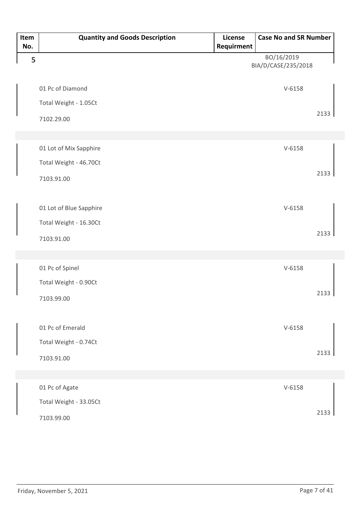| Item<br>No. | <b>Quantity and Goods Description</b> | License<br>Requirment | <b>Case No and SR Number</b>      |      |
|-------------|---------------------------------------|-----------------------|-----------------------------------|------|
| 5           |                                       |                       | BO/16/2019<br>BIA/D/CASE/235/2018 |      |
|             | 01 Pc of Diamond                      |                       | $V-6158$                          |      |
|             | Total Weight - 1.05Ct                 |                       |                                   |      |
|             | 7102.29.00                            |                       |                                   | 2133 |
|             |                                       |                       |                                   |      |
|             | 01 Lot of Mix Sapphire                |                       | $V-6158$                          |      |
|             | Total Weight - 46.70Ct                |                       |                                   |      |
|             | 7103.91.00                            |                       |                                   | 2133 |
|             |                                       |                       |                                   |      |
|             | 01 Lot of Blue Sapphire               |                       | $V-6158$                          |      |
|             | Total Weight - 16.30Ct                |                       |                                   |      |
|             | 7103.91.00                            |                       |                                   | 2133 |
|             |                                       |                       |                                   |      |
|             | 01 Pc of Spinel                       |                       | $V - 6158$                        |      |
|             | Total Weight - 0.90Ct                 |                       |                                   |      |
|             | 7103.99.00                            |                       |                                   | 2133 |
|             |                                       |                       |                                   |      |
|             | 01 Pc of Emerald                      |                       | $V-6158$                          |      |
|             | Total Weight - 0.74Ct                 |                       |                                   |      |
|             | 7103.91.00                            |                       |                                   | 2133 |
|             |                                       |                       |                                   |      |
|             | 01 Pc of Agate                        |                       | $V-6158$                          |      |
|             | Total Weight - 33.05Ct                |                       |                                   |      |
|             | 7103.99.00                            |                       |                                   | 2133 |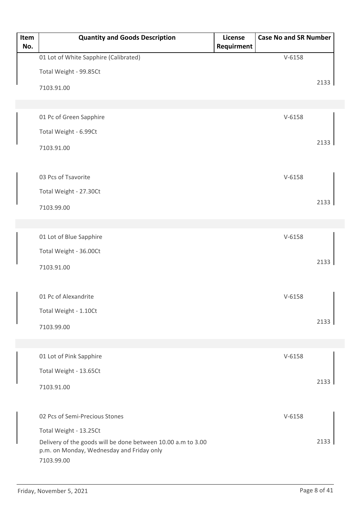| Item<br>No. | <b>Quantity and Goods Description</b>                                                                                   | License<br>Requirment | <b>Case No and SR Number</b> |      |
|-------------|-------------------------------------------------------------------------------------------------------------------------|-----------------------|------------------------------|------|
|             | 01 Lot of White Sapphire (Calibrated)                                                                                   |                       | $V-6158$                     |      |
|             | Total Weight - 99.85Ct                                                                                                  |                       |                              |      |
|             | 7103.91.00                                                                                                              |                       |                              | 2133 |
|             |                                                                                                                         |                       |                              |      |
|             | 01 Pc of Green Sapphire                                                                                                 |                       | $V-6158$                     |      |
|             | Total Weight - 6.99Ct                                                                                                   |                       |                              |      |
|             | 7103.91.00                                                                                                              |                       |                              | 2133 |
|             | 03 Pcs of Tsavorite                                                                                                     |                       | $V-6158$                     |      |
|             | Total Weight - 27.30Ct                                                                                                  |                       |                              |      |
|             | 7103.99.00                                                                                                              |                       |                              | 2133 |
|             |                                                                                                                         |                       |                              |      |
|             | 01 Lot of Blue Sapphire                                                                                                 |                       | $V-6158$                     |      |
|             | Total Weight - 36.00Ct                                                                                                  |                       |                              |      |
|             |                                                                                                                         |                       |                              | 2133 |
|             | 7103.91.00                                                                                                              |                       |                              |      |
|             | 01 Pc of Alexandrite                                                                                                    |                       | $V-6158$                     |      |
|             | Total Weight - 1.10Ct                                                                                                   |                       |                              |      |
|             | 7103.99.00                                                                                                              |                       |                              | 2133 |
|             |                                                                                                                         |                       |                              |      |
|             | 01 Lot of Pink Sapphire                                                                                                 |                       | $V-6158$                     |      |
|             | Total Weight - 13.65Ct                                                                                                  |                       |                              |      |
|             | 7103.91.00                                                                                                              |                       |                              | 2133 |
|             | 02 Pcs of Semi-Precious Stones                                                                                          |                       | $V-6158$                     |      |
|             | Total Weight - 13.25Ct                                                                                                  |                       |                              |      |
|             | Delivery of the goods will be done between 10.00 a.m to 3.00<br>p.m. on Monday, Wednesday and Friday only<br>7103.99.00 |                       |                              | 2133 |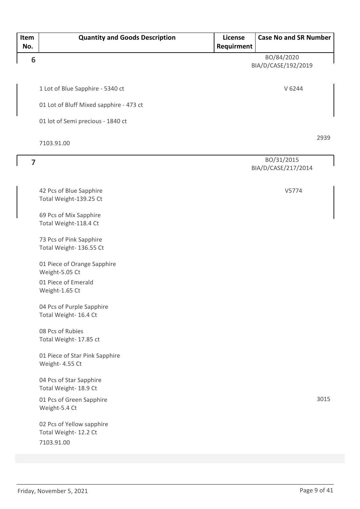| Item<br>No.    | <b>Quantity and Goods Description</b>                            | License<br>Requirment | <b>Case No and SR Number</b>      |      |
|----------------|------------------------------------------------------------------|-----------------------|-----------------------------------|------|
| 6              |                                                                  |                       | BO/84/2020<br>BIA/D/CASE/192/2019 |      |
|                | 1 Lot of Blue Sapphire - 5340 ct                                 |                       | V 6244                            |      |
|                | 01 Lot of Bluff Mixed sapphire - 473 ct                          |                       |                                   |      |
|                | 01 lot of Semi precious - 1840 ct                                |                       |                                   |      |
|                | 7103.91.00                                                       |                       |                                   | 2939 |
| $\overline{7}$ |                                                                  |                       | BO/31/2015<br>BIA/D/CASE/217/2014 |      |
|                | 42 Pcs of Blue Sapphire<br>Total Weight-139.25 Ct                |                       | V5774                             |      |
|                | 69 Pcs of Mix Sapphire<br>Total Weight-118.4 Ct                  |                       |                                   |      |
|                | 73 Pcs of Pink Sapphire<br>Total Weight- 136.55 Ct               |                       |                                   |      |
|                | 01 Piece of Orange Sapphire<br>Weight-5.05 Ct                    |                       |                                   |      |
|                | 01 Piece of Emerald<br>Weight-1.65 Ct                            |                       |                                   |      |
|                | 04 Pcs of Purple Sapphire<br>Total Weight- 16.4 Ct               |                       |                                   |      |
|                | 08 Pcs of Rubies<br>Total Weight- 17.85 ct                       |                       |                                   |      |
|                | 01 Piece of Star Pink Sapphire<br>Weight- 4.55 Ct                |                       |                                   |      |
|                | 04 Pcs of Star Sapphire<br>Total Weight- 18.9 Ct                 |                       |                                   |      |
|                | 01 Pcs of Green Sapphire<br>Weight-5.4 Ct                        |                       |                                   | 3015 |
|                | 02 Pcs of Yellow sapphire<br>Total Weight- 12.2 Ct<br>7103.91.00 |                       |                                   |      |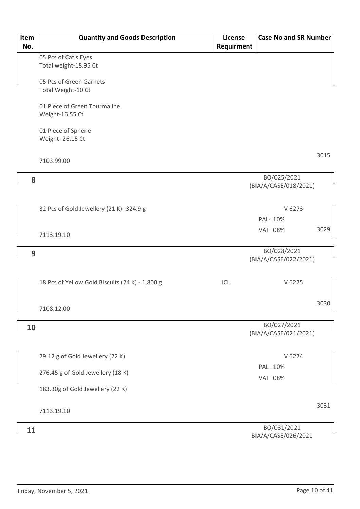| Item<br>No. | <b>Quantity and Goods Description</b>           | License<br>Requirment | <b>Case No and SR Number</b>         |      |
|-------------|-------------------------------------------------|-----------------------|--------------------------------------|------|
|             | 05 Pcs of Cat's Eyes<br>Total weight-18.95 Ct   |                       |                                      |      |
|             |                                                 |                       |                                      |      |
|             | 05 Pcs of Green Garnets<br>Total Weight-10 Ct   |                       |                                      |      |
|             | 01 Piece of Green Tourmaline<br>Weight-16.55 Ct |                       |                                      |      |
|             | 01 Piece of Sphene<br>Weight- 26.15 Ct          |                       |                                      |      |
|             | 7103.99.00                                      |                       |                                      | 3015 |
| 8           |                                                 |                       | BO/025/2021<br>(BIA/A/CASE/018/2021) |      |
|             | 32 Pcs of Gold Jewellery (21 K)-324.9 g         |                       | V 6273                               |      |
|             |                                                 |                       | PAL- 10%                             |      |
|             | 7113.19.10                                      |                       | <b>VAT 08%</b>                       | 3029 |
| 9           |                                                 |                       | BO/028/2021<br>(BIA/A/CASE/022/2021) |      |
|             | 18 Pcs of Yellow Gold Biscuits (24 K) - 1,800 g | ICL                   | V 6275                               |      |
|             | 7108.12.00                                      |                       |                                      | 3030 |
| 10          |                                                 |                       | BO/027/2021<br>(BIA/A/CASE/021/2021) |      |
|             | 79.12 g of Gold Jewellery (22 K)                |                       | V 6274                               |      |
|             | 276.45 g of Gold Jewellery (18 K)               |                       | PAL- 10%                             |      |
|             | 183.30g of Gold Jewellery (22 K)                |                       | <b>VAT 08%</b>                       |      |
|             | 7113.19.10                                      |                       |                                      | 3031 |
| 11          |                                                 |                       | BO/031/2021<br>BIA/A/CASE/026/2021   |      |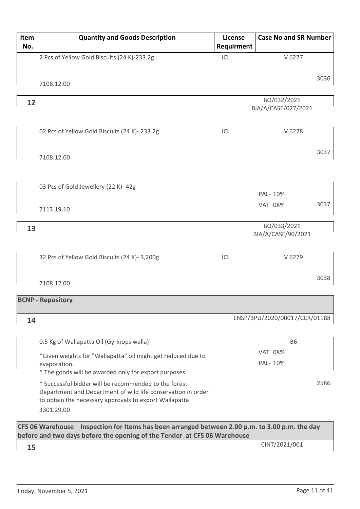| Item<br>No. | <b>Quantity and Goods Description</b>                                                                                                                                                         | License<br>Requirment | <b>Case No and SR Number</b>       |      |
|-------------|-----------------------------------------------------------------------------------------------------------------------------------------------------------------------------------------------|-----------------------|------------------------------------|------|
|             | 2 Pcs of Yellow Gold Biscuits (24 K)-233.2g                                                                                                                                                   | ICL                   | V 6277                             |      |
|             | 7108.12.00                                                                                                                                                                                    |                       |                                    | 3036 |
| 12          |                                                                                                                                                                                               |                       | BO/032/2021<br>BIA/A/CASE/027/2021 |      |
|             | 02 Pcs of Yellow Gold Biscuits (24 K)-233.2g                                                                                                                                                  | ICL                   | V 6278                             |      |
|             | 7108.12.00                                                                                                                                                                                    |                       |                                    | 3037 |
|             | 03 Pcs of Gold Jewellery (22 K)- 42g                                                                                                                                                          |                       | PAL- 10%                           |      |
|             | 7113.19.10                                                                                                                                                                                    |                       | <b>VAT 08%</b>                     | 3037 |
| 13          |                                                                                                                                                                                               |                       | BO/033/2021<br>BIA/A/CASE/90/2021  |      |
|             | 32 Pcs of Yellow Gold Biscuits (24 K)- 3,200g                                                                                                                                                 | ICL                   | V 6279                             |      |
|             | 7108.12.00                                                                                                                                                                                    |                       |                                    | 3038 |
|             | <b>BCNP - Repository</b>                                                                                                                                                                      |                       |                                    |      |
| 14          |                                                                                                                                                                                               |                       | ENSP/BPU/2020/00017/CCR/01188      |      |
|             | 0.5 Kg of Wallapatta Oil (Gyrinops walla)                                                                                                                                                     |                       | <b>B6</b>                          |      |
|             | *Given weights for "Wallapatta" oil might get reduced due to<br>evaporation.<br>* The goods will be awarded only for export purposes                                                          |                       | <b>VAT 08%</b><br>PAL- 10%         |      |
|             | * Successful bidder will be recommended to the forest<br>Department and Department of wild life conservation in order<br>to obtain the necessary approvals to export Wallapatta<br>3301.29.00 |                       |                                    | 2586 |
|             | CFS 06 Warehouse Inspection for Items has been arranged between 2.00 p.m. to 3.00 p.m. the day<br>before and two days before the opening of the Tender at CFS 06 Warehouse                    |                       |                                    |      |
| 15          |                                                                                                                                                                                               |                       | CINT/2021/001                      |      |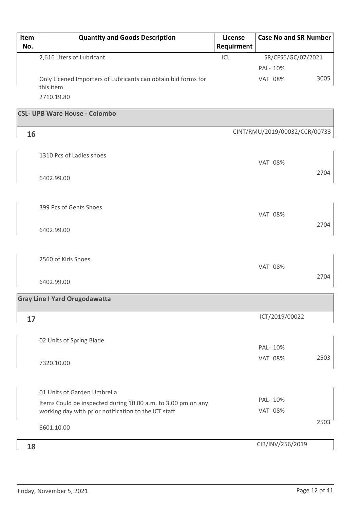| Item<br>No. | <b>Quantity and Goods Description</b>                                      | <b>License</b><br>Requirment | <b>Case No and SR Number</b>  |      |
|-------------|----------------------------------------------------------------------------|------------------------------|-------------------------------|------|
|             | 2,616 Liters of Lubricant                                                  | ICL                          | SR/CFS6/GC/07/2021            |      |
|             |                                                                            |                              | PAL- 10%                      |      |
|             | Only Licened Importers of Lubricants can obtain bid forms for<br>this item |                              | <b>VAT 08%</b>                | 3005 |
|             | 2710.19.80                                                                 |                              |                               |      |
|             | <b>CSL- UPB Ware House - Colombo</b>                                       |                              |                               |      |
| 16          |                                                                            |                              | CINT/RMU/2019/00032/CCR/00733 |      |
|             | 1310 Pcs of Ladies shoes                                                   |                              | <b>VAT 08%</b>                |      |
|             | 6402.99.00                                                                 |                              |                               | 2704 |
|             | 399 Pcs of Gents Shoes                                                     |                              | <b>VAT 08%</b>                |      |
|             | 6402.99.00                                                                 |                              |                               | 2704 |
|             | 2560 of Kids Shoes                                                         |                              | <b>VAT 08%</b>                |      |
|             | 6402.99.00                                                                 |                              |                               | 2704 |
|             | <b>Gray Line I Yard Orugodawatta</b>                                       |                              |                               |      |
| 17          |                                                                            |                              | ICT/2019/00022                |      |
|             | 02 Units of Spring Blade                                                   |                              | PAL- 10%                      |      |
|             | 7320.10.00                                                                 |                              | <b>VAT 08%</b>                | 2503 |
|             | 01 Units of Garden Umbrella                                                |                              |                               |      |
|             | Items Could be inspected during 10.00 a.m. to 3.00 pm on any               |                              | PAL- 10%                      |      |
|             | working day with prior notification to the ICT staff                       |                              | <b>VAT 08%</b>                |      |
|             | 6601.10.00                                                                 |                              |                               | 2503 |
| 18          |                                                                            |                              | CIB/INV/256/2019              |      |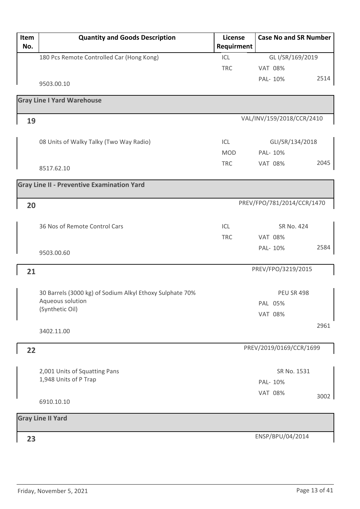| Item<br>No. | <b>Quantity and Goods Description</b>                    | License<br>Requirment | <b>Case No and SR Number</b> |      |
|-------------|----------------------------------------------------------|-----------------------|------------------------------|------|
|             | 180 Pcs Remote Controlled Car (Hong Kong)                | ICL                   | GL I/SR/169/2019             |      |
|             |                                                          | <b>TRC</b>            | <b>VAT 08%</b>               |      |
|             | 9503.00.10                                               |                       | PAL- 10%                     | 2514 |
|             | <b>Gray Line I Yard Warehouse</b>                        |                       |                              |      |
| 19          |                                                          |                       | VAL/INV/159/2018/CCR/2410    |      |
|             | 08 Units of Walky Talky (Two Way Radio)                  | ICL                   | GLI/SR/134/2018              |      |
|             |                                                          | <b>MOD</b>            | PAL- 10%                     |      |
|             | 8517.62.10                                               | <b>TRC</b>            | <b>VAT 08%</b>               | 2045 |
|             | <b>Gray Line II - Preventive Examination Yard</b>        |                       |                              |      |
| 20          |                                                          |                       | PREV/FPO/781/2014/CCR/1470   |      |
|             |                                                          |                       |                              |      |
|             | 36 Nos of Remote Control Cars                            | ICL                   | SR No. 424                   |      |
|             |                                                          | <b>TRC</b>            | <b>VAT 08%</b>               |      |
|             | 9503.00.60                                               |                       | PAL- 10%                     | 2584 |
| 21          |                                                          |                       | PREV/FPO/3219/2015           |      |
|             | 30 Barrels (3000 kg) of Sodium Alkyl Ethoxy Sulphate 70% |                       | <b>PEU SR 498</b>            |      |
|             | Aqueous solution                                         |                       | PAL 05%                      |      |
|             | (Synthetic Oil)                                          |                       | <b>VAT 08%</b>               |      |
|             | 3402.11.00                                               |                       |                              | 2961 |
| 22          |                                                          |                       | PREV/2019/0169/CCR/1699      |      |
|             |                                                          |                       |                              |      |
|             | 2,001 Units of Squatting Pans                            |                       | SR No. 1531                  |      |
|             | 1,948 Units of P Trap                                    |                       | PAL- 10%                     |      |
|             | 6910.10.10                                               |                       | <b>VAT 08%</b>               | 3002 |
|             | <b>Gray Line II Yard</b>                                 |                       |                              |      |
|             |                                                          |                       |                              |      |
| 23          |                                                          |                       | ENSP/BPU/04/2014             |      |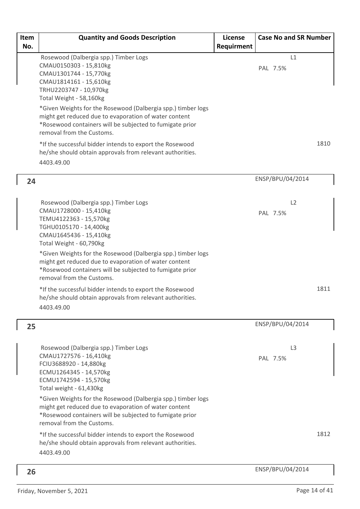| Item<br>No. | <b>Quantity and Goods Description</b>                                                                                                                                                                                                                                                                                                                                                                                                                                                                                             | License<br>Requirment | <b>Case No and SR Number</b> |      |
|-------------|-----------------------------------------------------------------------------------------------------------------------------------------------------------------------------------------------------------------------------------------------------------------------------------------------------------------------------------------------------------------------------------------------------------------------------------------------------------------------------------------------------------------------------------|-----------------------|------------------------------|------|
|             | Rosewood (Dalbergia spp.) Timber Logs<br>CMAU0150303 - 15,810kg<br>CMAU1301744 - 15,770kg<br>CMAU1814161 - 15,610kg<br>TRHU2203747 - 10,970kg<br>Total Weight - 58,160kg<br>*Given Weights for the Rosewood (Dalbergia spp.) timber logs<br>might get reduced due to evaporation of water content<br>*Rosewood containers will be subjected to fumigate prior<br>removal from the Customs.<br>*If the successful bidder intends to export the Rosewood<br>he/she should obtain approvals from relevant authorities.<br>4403.49.00 |                       | L1<br>PAL 7.5%               | 1810 |
| 24          |                                                                                                                                                                                                                                                                                                                                                                                                                                                                                                                                   |                       | ENSP/BPU/04/2014             |      |
|             | Rosewood (Dalbergia spp.) Timber Logs<br>CMAU1728000 - 15,410kg<br>TEMU4122363 - 15,570kg<br>TGHU0105170 - 14,400kg<br>CMAU1645436 - 15,410kg<br>Total Weight - 60,790kg                                                                                                                                                                                                                                                                                                                                                          |                       | L2<br>PAL 7.5%               |      |
|             | *Given Weights for the Rosewood (Dalbergia spp.) timber logs<br>might get reduced due to evaporation of water content<br>*Rosewood containers will be subjected to fumigate prior<br>removal from the Customs.                                                                                                                                                                                                                                                                                                                    |                       |                              |      |
|             | *If the successful bidder intends to export the Rosewood<br>he/she should obtain approvals from relevant authorities.<br>4403.49.00                                                                                                                                                                                                                                                                                                                                                                                               |                       |                              | 1811 |
| 25          |                                                                                                                                                                                                                                                                                                                                                                                                                                                                                                                                   |                       | ENSP/BPU/04/2014             |      |
|             | Rosewood (Dalbergia spp.) Timber Logs<br>CMAU1727576 - 16,410kg<br>FCIU3688920 - 14,880kg<br>ECMU1264345 - 14,570kg<br>ECMU1742594 - 15,570kg<br>Total weight - 61,430kg                                                                                                                                                                                                                                                                                                                                                          |                       | L <sub>3</sub><br>PAL 7.5%   |      |
|             | *Given Weights for the Rosewood (Dalbergia spp.) timber logs<br>might get reduced due to evaporation of water content<br>*Rosewood containers will be subjected to fumigate prior<br>removal from the Customs.                                                                                                                                                                                                                                                                                                                    |                       |                              |      |
|             | *If the successful bidder intends to export the Rosewood<br>he/she should obtain approvals from relevant authorities.<br>4403.49.00                                                                                                                                                                                                                                                                                                                                                                                               |                       |                              | 1812 |
| 26          |                                                                                                                                                                                                                                                                                                                                                                                                                                                                                                                                   |                       | ENSP/BPU/04/2014             |      |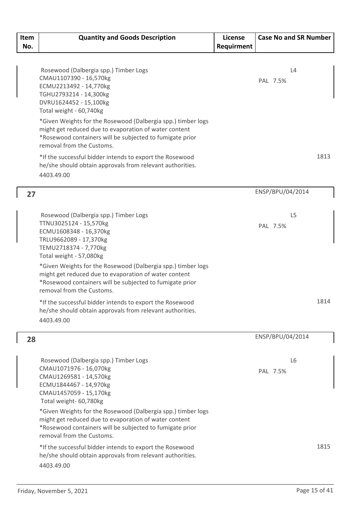| Item | <b>Quantity and Goods Description</b>                                                 | License    | <b>Case No and SR Number</b> |      |
|------|---------------------------------------------------------------------------------------|------------|------------------------------|------|
| No.  |                                                                                       | Requirment |                              |      |
|      |                                                                                       |            |                              |      |
|      | Rosewood (Dalbergia spp.) Timber Logs                                                 |            | L4                           |      |
|      | CMAU1107390 - 16,570kg                                                                |            | PAL 7.5%                     |      |
|      | ECMU2213492 - 14,770kg                                                                |            |                              |      |
|      | TGHU2793214 - 14,300kg                                                                |            |                              |      |
|      | DVRU1624452 - 15,100kg<br>Total weight - 60,740kg                                     |            |                              |      |
|      | *Given Weights for the Rosewood (Dalbergia spp.) timber logs                          |            |                              |      |
|      | might get reduced due to evaporation of water content                                 |            |                              |      |
|      | *Rosewood containers will be subjected to fumigate prior                              |            |                              |      |
|      | removal from the Customs.                                                             |            |                              |      |
|      | *If the successful bidder intends to export the Rosewood                              |            |                              | 1813 |
|      | he/she should obtain approvals from relevant authorities.                             |            |                              |      |
|      | 4403.49.00                                                                            |            |                              |      |
| 27   |                                                                                       |            | ENSP/BPU/04/2014             |      |
|      |                                                                                       |            |                              |      |
|      | Rosewood (Dalbergia spp.) Timber Logs                                                 |            | L <sub>5</sub>               |      |
|      | TTNU3025124 - 15,570kg<br>ECMU1608348 - 16,370kg                                      |            | PAL 7.5%                     |      |
|      | TRLU9662089 - 17,370kg                                                                |            |                              |      |
|      | TEMU2718374 - 7,770kg                                                                 |            |                              |      |
|      | Total weight - 57,080kg                                                               |            |                              |      |
|      | *Given Weights for the Rosewood (Dalbergia spp.) timber logs                          |            |                              |      |
|      | might get reduced due to evaporation of water content                                 |            |                              |      |
|      | *Rosewood containers will be subjected to fumigate prior<br>removal from the Customs. |            |                              |      |
|      | *If the successful bidder intends to export the Rosewood                              |            |                              | 1814 |
|      | he/she should obtain approvals from relevant authorities.                             |            |                              |      |
|      | 4403.49.00                                                                            |            |                              |      |
|      |                                                                                       |            |                              |      |
| 28   |                                                                                       |            | ENSP/BPU/04/2014             |      |
|      | Rosewood (Dalbergia spp.) Timber Logs                                                 |            | L <sub>6</sub>               |      |
|      | CMAU1071976 - 16,070kg                                                                |            | PAL 7.5%                     |      |
|      | CMAU1269581 - 14,570kg                                                                |            |                              |      |
|      | ECMU1844467 - 14,970kg<br>CMAU1457059 - 15,170kg                                      |            |                              |      |
|      | Total weight- 60,780kg                                                                |            |                              |      |
|      | *Given Weights for the Rosewood (Dalbergia spp.) timber logs                          |            |                              |      |
|      | might get reduced due to evaporation of water content                                 |            |                              |      |
|      | *Rosewood containers will be subjected to fumigate prior                              |            |                              |      |
|      | removal from the Customs.                                                             |            |                              |      |
|      | *If the successful bidder intends to export the Rosewood                              |            |                              | 1815 |
|      | he/she should obtain approvals from relevant authorities.                             |            |                              |      |
|      | 4403.49.00                                                                            |            |                              |      |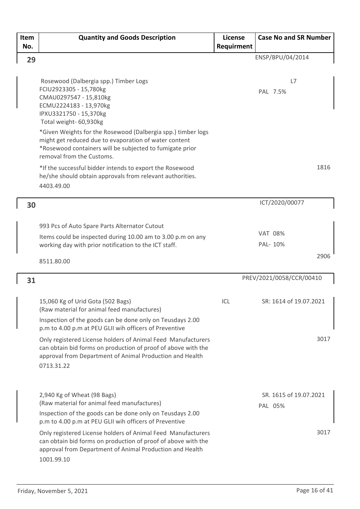| Item | <b>Quantity and Goods Description</b>                                                                                | License    | <b>Case No and SR Number</b> |
|------|----------------------------------------------------------------------------------------------------------------------|------------|------------------------------|
| No.  |                                                                                                                      | Requirment |                              |
| 29   |                                                                                                                      |            | ENSP/BPU/04/2014             |
|      |                                                                                                                      |            |                              |
|      | Rosewood (Dalbergia spp.) Timber Logs                                                                                |            | L7                           |
|      | FCIU2923305 - 15,780kg                                                                                               |            | PAL 7.5%                     |
|      | CMAU0297547 - 15,810kg                                                                                               |            |                              |
|      | ECMU2224183 - 13,970kg                                                                                               |            |                              |
|      | IPXU3321750 - 15,370kg<br>Total weight- 60,930kg                                                                     |            |                              |
|      | *Given Weights for the Rosewood (Dalbergia spp.) timber logs                                                         |            |                              |
|      | might get reduced due to evaporation of water content                                                                |            |                              |
|      | *Rosewood containers will be subjected to fumigate prior                                                             |            |                              |
|      | removal from the Customs.                                                                                            |            |                              |
|      | *If the successful bidder intends to export the Rosewood                                                             |            | 1816                         |
|      | he/she should obtain approvals from relevant authorities.                                                            |            |                              |
|      | 4403.49.00                                                                                                           |            |                              |
|      |                                                                                                                      |            | ICT/2020/00077               |
| 30   |                                                                                                                      |            |                              |
|      |                                                                                                                      |            |                              |
|      | 993 Pcs of Auto Spare Parts Alternator Cutout                                                                        |            | <b>VAT 08%</b>               |
|      | Items could be inspected during 10.00 am to 3.00 p.m on any<br>working day with prior notification to the ICT staff. |            | PAL- 10%                     |
|      |                                                                                                                      |            |                              |
|      | 8511.80.00                                                                                                           |            | 2906                         |
| 31   |                                                                                                                      |            | PREV/2021/0058/CCR/00410     |
|      |                                                                                                                      |            |                              |
|      | 15,060 Kg of Urid Gota (502 Bags)                                                                                    | ICL        | SR: 1614 of 19.07.2021       |
|      | (Raw material for animal feed manufactures)                                                                          |            |                              |
|      | Inspection of the goods can be done only on Teusdays 2.00                                                            |            |                              |
|      | p.m to 4.00 p.m at PEU GLII wih officers of Preventive                                                               |            |                              |
|      | Only registered License holders of Animal Feed Manufacturers                                                         |            | 3017                         |
|      | can obtain bid forms on production of proof of above with the                                                        |            |                              |
|      | approval from Department of Animal Production and Health                                                             |            |                              |
|      | 0713.31.22                                                                                                           |            |                              |
|      |                                                                                                                      |            |                              |
|      | 2,940 Kg of Wheat (98 Bags)                                                                                          |            | SR. 1615 of 19.07.2021       |
|      | (Raw material for animal feed manufactures)                                                                          |            | PAL 05%                      |
|      | Inspection of the goods can be done only on Teusdays 2.00                                                            |            |                              |
|      | p.m to 4.00 p.m at PEU GLII wih officers of Preventive                                                               |            |                              |
|      | Only registered License holders of Animal Feed Manufacturers                                                         |            | 3017                         |
|      | can obtain bid forms on production of proof of above with the                                                        |            |                              |
|      | approval from Department of Animal Production and Health                                                             |            |                              |
|      | 1001.99.10                                                                                                           |            |                              |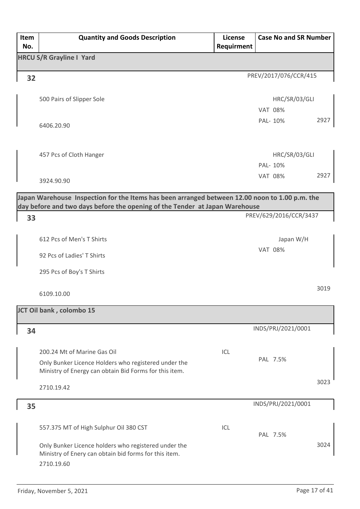| Item | <b>Quantity and Goods Description</b>                                                                                                                                         | License    | <b>Case No and SR Number</b> |
|------|-------------------------------------------------------------------------------------------------------------------------------------------------------------------------------|------------|------------------------------|
| No.  |                                                                                                                                                                               | Requirment |                              |
|      | <b>HRCU S/R Grayline I Yard</b>                                                                                                                                               |            |                              |
| 32   |                                                                                                                                                                               |            | PREV/2017/076/CCR/415        |
|      | 500 Pairs of Slipper Sole                                                                                                                                                     |            | HRC/SR/03/GLI                |
|      |                                                                                                                                                                               |            | <b>VAT 08%</b>               |
|      | 6406.20.90                                                                                                                                                                    |            | 2927<br>PAL- 10%             |
|      | 457 Pcs of Cloth Hanger                                                                                                                                                       |            | HRC/SR/03/GLI                |
|      |                                                                                                                                                                               |            | PAL- 10%                     |
|      | 3924.90.90                                                                                                                                                                    |            | 2927<br><b>VAT 08%</b>       |
|      | Japan Warehouse Inspection for the Items has been arranged between 12.00 noon to 1.00 p.m. the<br>day before and two days before the opening of the Tender at Japan Warehouse |            |                              |
| 33   |                                                                                                                                                                               |            | PREV/629/2016/CCR/3437       |
|      |                                                                                                                                                                               |            |                              |
|      | 612 Pcs of Men's T Shirts                                                                                                                                                     |            | Japan W/H                    |
|      | 92 Pcs of Ladies' T Shirts                                                                                                                                                    |            | <b>VAT 08%</b>               |
|      | 295 Pcs of Boy's T Shirts                                                                                                                                                     |            |                              |
|      | 6109.10.00                                                                                                                                                                    |            | 3019                         |
|      | JCT Oil bank, colombo 15                                                                                                                                                      |            |                              |
| 34   |                                                                                                                                                                               |            | INDS/PRJ/2021/0001           |
|      | 200.24 Mt of Marine Gas Oil                                                                                                                                                   | ICL        |                              |
|      | Only Bunker Licence Holders who registered under the<br>Ministry of Energy can obtain Bid Forms for this item.                                                                |            | PAL 7.5%                     |
|      | 2710.19.42                                                                                                                                                                    |            | 3023                         |
| 35   |                                                                                                                                                                               |            | INDS/PRJ/2021/0001           |
|      | 557.375 MT of High Sulphur Oil 380 CST                                                                                                                                        | ICL        | PAL 7.5%                     |
|      | Only Bunker Licence holders who registered under the<br>Ministry of Enery can obtain bid forms for this item.<br>2710.19.60                                                   |            | 3024                         |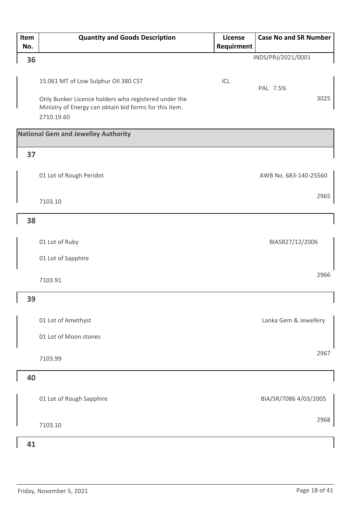| Item<br>No. | <b>Quantity and Goods Description</b>                  | License    | <b>Case No and SR Number</b> |
|-------------|--------------------------------------------------------|------------|------------------------------|
|             |                                                        | Requirment | INDS/PRJ/2021/0001           |
| 36          |                                                        |            |                              |
|             |                                                        |            |                              |
|             | 15.061 MT of Low Sulphur Oil 380 CST                   | ICL        | PAL 7.5%                     |
|             | Only Bunker Licence holders who registered under the   |            | 3025                         |
|             | Ministry of Energy can obtain bid forms for this item. |            |                              |
|             | 2710.19.60                                             |            |                              |
|             | <b>National Gem and Jewelley Authority</b>             |            |                              |
|             |                                                        |            |                              |
| 37          |                                                        |            |                              |
|             | 01 Lot of Rough Peridot                                |            | AWB No. 683-140-25560        |
|             |                                                        |            |                              |
|             |                                                        |            | 2965                         |
|             | 7103.10                                                |            |                              |
| 38          |                                                        |            |                              |
|             |                                                        |            |                              |
|             | 01 Lot of Ruby                                         |            | BIASR27/12/2006              |
|             | 01 Lot of Sapphire                                     |            |                              |
|             |                                                        |            |                              |
|             | 7103.91                                                |            | 2966                         |
|             |                                                        |            |                              |
| 39          |                                                        |            |                              |
|             |                                                        |            |                              |
|             | 01 Lot of Amethyst                                     |            | Lanka Gem & Jewellery        |
|             | 01 Lot of Moon stones                                  |            |                              |
|             |                                                        |            | 2967                         |
|             | 7103.99                                                |            |                              |
| 40          |                                                        |            |                              |
|             |                                                        |            |                              |
|             | 01 Lot of Rough Sapphire                               |            | BIA/SR/7086 4/03/2005        |
|             |                                                        |            |                              |
|             |                                                        |            | 2968                         |
|             | 7103.10                                                |            |                              |
| 41          |                                                        |            |                              |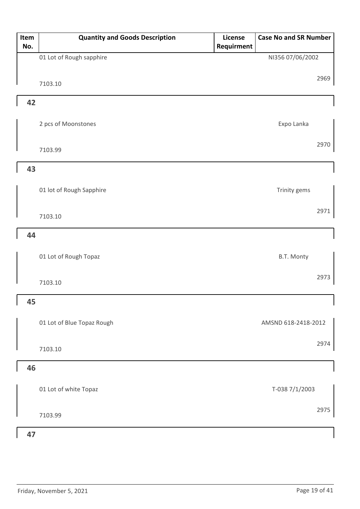| Item<br>No. | <b>Quantity and Goods Description</b> | License<br>Requirment | <b>Case No and SR Number</b> |
|-------------|---------------------------------------|-----------------------|------------------------------|
|             | 01 Lot of Rough sapphire              |                       | NI356 07/06/2002             |
|             | 7103.10                               |                       | 2969                         |
| 42          |                                       |                       |                              |
|             | 2 pcs of Moonstones                   |                       | Expo Lanka                   |
|             | 7103.99                               |                       | 2970                         |
| 43          |                                       |                       |                              |
|             | 01 lot of Rough Sapphire              |                       | Trinity gems                 |
|             | 7103.10                               |                       | 2971                         |
| 44          |                                       |                       |                              |
|             | 01 Lot of Rough Topaz                 |                       | B.T. Monty                   |
|             | 7103.10                               |                       | 2973                         |
| 45          |                                       |                       | $\mathbf{I}$                 |
|             | 01 Lot of Blue Topaz Rough            |                       | AMSND 618-2418-2012          |
|             | 7103.10                               |                       | 2974                         |
| 46          |                                       |                       |                              |
|             | 01 Lot of white Topaz                 |                       | T-038 7/1/2003               |
|             | 7103.99                               |                       | 2975                         |
| 47          |                                       |                       |                              |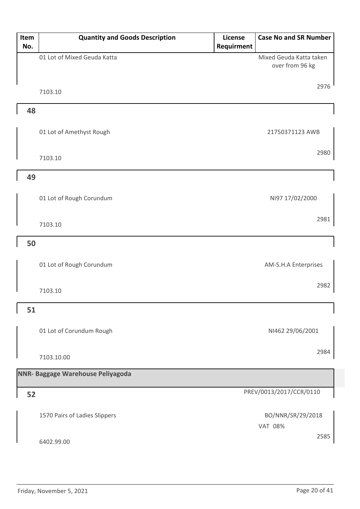| Item<br>No. | <b>Quantity and Goods Description</b> | License<br>Requirment | <b>Case No and SR Number</b>               |
|-------------|---------------------------------------|-----------------------|--------------------------------------------|
|             | 01 Lot of Mixed Geuda Katta           |                       | Mixed Geuda Katta taken<br>over from 96 kg |
|             | 7103.10                               |                       | 2976                                       |
| 48          |                                       |                       |                                            |
|             | 01 Lot of Amethyst Rough              |                       | 21750371123 AWB                            |
|             | 7103.10                               |                       | 2980                                       |
| 49          |                                       |                       |                                            |
|             | 01 Lot of Rough Corundum              |                       | NI97 17/02/2000                            |
|             | 7103.10                               |                       | 2981                                       |
| 50          |                                       |                       |                                            |
|             | 01 Lot of Rough Corundum              |                       | AM-S.H.A Enterprises                       |
|             | 7103.10                               |                       | 2982                                       |
| 51          |                                       |                       |                                            |
|             | 01 Lot of Corundum Rough              |                       | NI462 29/06/2001                           |
|             | 7103.10.00                            |                       | 2984                                       |
|             | NNR- Baggage Warehouse Peliyagoda     |                       |                                            |
| 52          |                                       |                       | PREV/0013/2017/CCR/0110                    |
|             | 1570 Pairs of Ladies Slippers         |                       | BO/NNR/SR/29/2018<br><b>VAT 08%</b>        |
|             | 6402.99.00                            |                       | 2585                                       |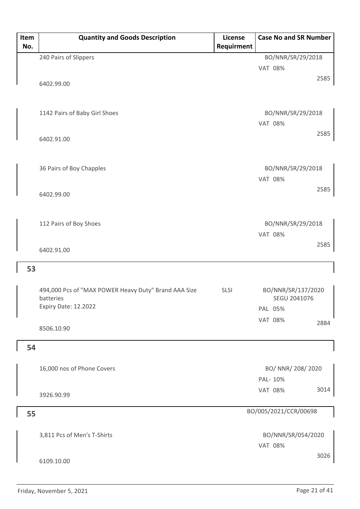| Item<br>No. | <b>Quantity and Goods Description</b>                | <b>License</b><br>Requirment | <b>Case No and SR Number</b>        |  |
|-------------|------------------------------------------------------|------------------------------|-------------------------------------|--|
|             |                                                      |                              |                                     |  |
|             | 240 Pairs of Slippers                                |                              | BO/NNR/SR/29/2018<br><b>VAT 08%</b> |  |
|             |                                                      |                              | 2585                                |  |
|             | 6402.99.00                                           |                              |                                     |  |
|             |                                                      |                              |                                     |  |
|             |                                                      |                              |                                     |  |
|             | 1142 Pairs of Baby Girl Shoes                        |                              | BO/NNR/SR/29/2018                   |  |
|             |                                                      |                              | <b>VAT 08%</b>                      |  |
|             | 6402.91.00                                           |                              | 2585                                |  |
|             |                                                      |                              |                                     |  |
|             |                                                      |                              |                                     |  |
|             | 36 Pairs of Boy Chapples                             |                              | BO/NNR/SR/29/2018                   |  |
|             |                                                      |                              | <b>VAT 08%</b>                      |  |
|             | 6402.99.00                                           |                              | 2585                                |  |
|             |                                                      |                              |                                     |  |
|             |                                                      |                              |                                     |  |
|             | 112 Pairs of Boy Shoes                               |                              | BO/NNR/SR/29/2018                   |  |
|             |                                                      |                              | <b>VAT 08%</b>                      |  |
|             | 6402.91.00                                           |                              | 2585                                |  |
|             |                                                      |                              |                                     |  |
| 53          |                                                      |                              |                                     |  |
|             |                                                      |                              |                                     |  |
|             | 494,000 Pcs of "MAX POWER Heavy Duty" Brand AAA Size | <b>SLSI</b>                  | BO/NNR/SR/137/2020                  |  |
|             | batteries                                            |                              | SEGU 2041076                        |  |
|             | Expiry Date: 12.2022                                 |                              | PAL 05%                             |  |
|             |                                                      |                              | <b>VAT 08%</b><br>2884              |  |
|             | 8506.10.90                                           |                              |                                     |  |
| 54          |                                                      |                              |                                     |  |
|             |                                                      |                              |                                     |  |
|             | 16,000 nos of Phone Covers                           |                              | BO/ NNR/ 208/ 2020                  |  |
|             |                                                      |                              | PAL- 10%                            |  |
|             |                                                      |                              | 3014<br><b>VAT 08%</b>              |  |
|             | 3926.90.99                                           |                              |                                     |  |
|             |                                                      |                              | BO/005/2021/CCR/00698               |  |
| 55          |                                                      |                              |                                     |  |
|             |                                                      |                              |                                     |  |
|             | 3,811 Pcs of Men's T-Shirts                          |                              | BO/NNR/SR/054/2020                  |  |
|             |                                                      |                              | <b>VAT 08%</b><br>3026              |  |
|             | 6109.10.00                                           |                              |                                     |  |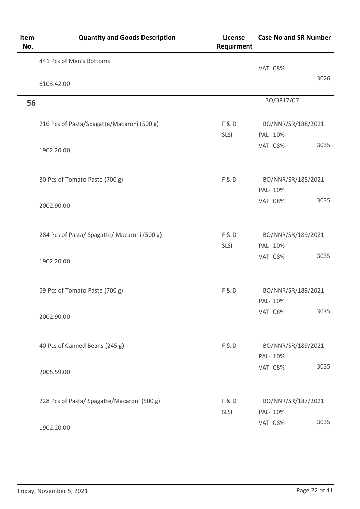| Item<br>No. | <b>Quantity and Goods Description</b>        | <b>License</b><br>Requirment | <b>Case No and SR Number</b>       |
|-------------|----------------------------------------------|------------------------------|------------------------------------|
|             | 441 Pcs of Men's Bottoms                     |                              | <b>VAT 08%</b>                     |
|             | 6103.42.00                                   |                              | 3026                               |
| 56          |                                              |                              | BO/3817/07                         |
|             | 216 Pcs of Pasta/Spagatte/Macaroni (500 g)   | F&D<br>SLSI                  | BO/NNR/SR/188/2021<br>PAL- 10%     |
|             | 1902.20.00                                   |                              | 3035<br><b>VAT 08%</b>             |
|             | 30 Pcs of Tomato Paste (700 g)               | <b>F&amp;D</b>               | BO/NNR/SR/188/2021                 |
|             | 2002.90.00                                   |                              | PAL- 10%<br>3035<br><b>VAT 08%</b> |
|             | 284 Pcs of Pasta/ Spagatte/ Macaroni (500 g) | F&D                          | BO/NNR/SR/189/2021                 |
|             | 1902.20.00                                   | SLSI                         | PAL- 10%<br>3035<br><b>VAT 08%</b> |
|             | 59 Pcs of Tomato Paste (700 g)               | F&D                          | BO/NNR/SR/189/2021<br>PAL- 10%     |
|             | 2002.90.00                                   |                              | 3035<br><b>VAT 08%</b>             |
|             | 40 Pcs of Canned Beans (245 g)               | F&D                          | BO/NNR/SR/189/2021<br>PAL- 10%     |
|             | 2005.59.00                                   |                              | 3035<br><b>VAT 08%</b>             |
|             | 228 Pcs of Pasta/ Spagatte/Macaroni (500 g)  | F&D<br>SLSI                  | BO/NNR/SR/187/2021<br>PAL- 10%     |
|             | 1902.20.00                                   |                              | 3035<br><b>VAT 08%</b>             |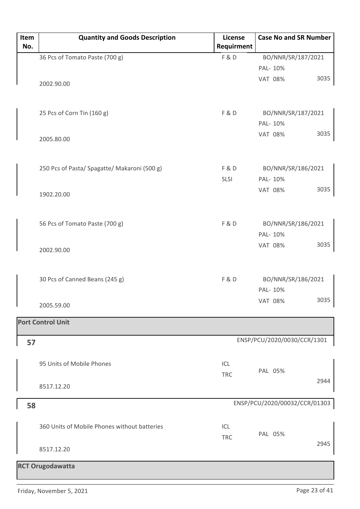| Item<br>No. | <b>Quantity and Goods Description</b>        | License<br>Requirment | <b>Case No and SR Number</b>   |
|-------------|----------------------------------------------|-----------------------|--------------------------------|
|             | 36 Pcs of Tomato Paste (700 g)               | F&D                   | BO/NNR/SR/187/2021             |
|             |                                              |                       | PAL- 10%                       |
|             | 2002.90.00                                   |                       | 3035<br><b>VAT 08%</b>         |
|             | 25 Pcs of Corn Tin (160 g)                   | F&D                   | BO/NNR/SR/187/2021<br>PAL- 10% |
|             | 2005.80.00                                   |                       | 3035<br><b>VAT 08%</b>         |
|             | 250 Pcs of Pasta/ Spagatte/ Makaroni (500 g) | F&D<br><b>SLSI</b>    | BO/NNR/SR/186/2021<br>PAL- 10% |
|             | 1902.20.00                                   |                       | 3035<br><b>VAT 08%</b>         |
|             | 56 Pcs of Tomato Paste (700 g)               | F&D                   | BO/NNR/SR/186/2021<br>PAL- 10% |
|             | 2002.90.00                                   |                       | 3035<br><b>VAT 08%</b>         |
|             | 30 Pcs of Canned Beans (245 g)               | F&D                   | BO/NNR/SR/186/2021<br>PAL- 10% |
|             | 2005.59.00                                   |                       | 3035<br><b>VAT 08%</b>         |
|             | <b>Port Control Unit</b>                     |                       |                                |
| 57          |                                              |                       | ENSP/PCU/2020/0030/CCR/1301    |
|             | 95 Units of Mobile Phones                    | ICL<br><b>TRC</b>     | PAL 05%                        |
|             | 8517.12.20                                   |                       | 2944                           |
| 58          |                                              |                       | ENSP/PCU/2020/00032/CCR/01303  |
|             | 360 Units of Mobile Phones without batteries | ICL<br><b>TRC</b>     | PAL 05%                        |
|             | 8517.12.20                                   |                       | 2945                           |
|             | <b>RCT Orugodawatta</b>                      |                       |                                |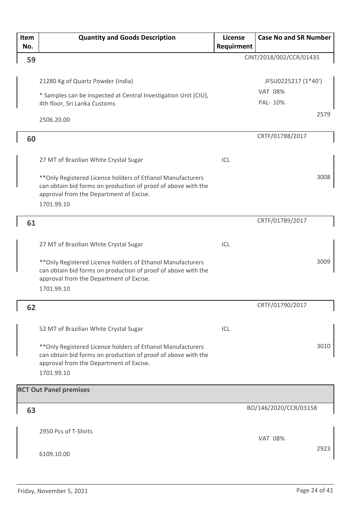| Item<br>No. | <b>Quantity and Goods Description</b>                                                                                                                                                                                           | License<br>Requirment | <b>Case No and SR Number</b>                      |
|-------------|---------------------------------------------------------------------------------------------------------------------------------------------------------------------------------------------------------------------------------|-----------------------|---------------------------------------------------|
| 59          |                                                                                                                                                                                                                                 |                       | CINT/2018/002/CCR/01435                           |
|             | 21280 Kg of Quartz Powder (India)<br>* Samples can be inspected at Central Investigation Unit (CIU),<br>4th floor, Sri Lanka Customs                                                                                            |                       | JFSU0225217 (1*40')<br><b>VAT 08%</b><br>PAL- 10% |
|             | 2506.20.00                                                                                                                                                                                                                      |                       | 2579                                              |
| 60          |                                                                                                                                                                                                                                 |                       | CRTF/01788/2017                                   |
|             | 27 MT of Brazilian White Crystal Sugar<br>** Only Registered Licence holders of Ethanol Manufacturers<br>can obtain bid forms on production of proof of above with the<br>approval from the Department of Excise.<br>1701.99.10 | ICL                   | 3008                                              |
|             |                                                                                                                                                                                                                                 |                       | CRTF/01789/2017                                   |
| 61          |                                                                                                                                                                                                                                 |                       |                                                   |
|             | 27 MT of Brazilian White Crystal Sugar                                                                                                                                                                                          | ICL                   |                                                   |
|             | ** Only Registered Licence holders of Ethanol Manufacturers<br>can obtain bid forms on production of proof of above with the<br>approval from the Department of Excise.<br>1701.99.10                                           |                       | 3009                                              |
| 62          |                                                                                                                                                                                                                                 |                       | CRTF/01790/2017                                   |
|             | 52 MT of Brazilian White Crystal Sugar                                                                                                                                                                                          | ICL                   |                                                   |
|             | ** Only Registered Licence holders of Ethanol Manufacturers<br>can obtain bid forms on production of proof of above with the<br>approval from the Department of Excise.<br>1701.99.10                                           |                       | 3010                                              |
|             | <b>RCT Out Panel premises</b>                                                                                                                                                                                                   |                       |                                                   |
| 63          |                                                                                                                                                                                                                                 |                       | BO/146/2020/CCR/03158                             |
|             | 2950 Pcs of T-Shirts                                                                                                                                                                                                            |                       | <b>VAT 08%</b><br>2923                            |
|             | 6109.10.00                                                                                                                                                                                                                      |                       |                                                   |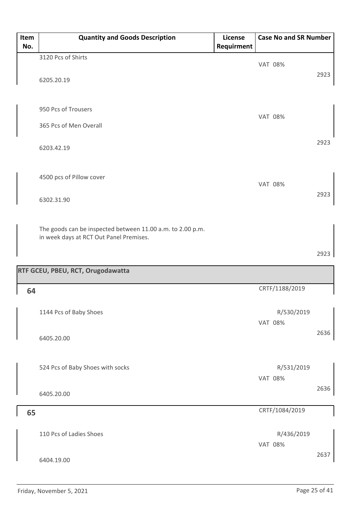| Item<br>No. | <b>Quantity and Goods Description</b>                                                                 | License<br>Requirment | <b>Case No and SR Number</b> |      |
|-------------|-------------------------------------------------------------------------------------------------------|-----------------------|------------------------------|------|
|             | 3120 Pcs of Shirts                                                                                    |                       | <b>VAT 08%</b>               |      |
|             | 6205.20.19                                                                                            |                       |                              | 2923 |
|             |                                                                                                       |                       |                              |      |
|             | 950 Pcs of Trousers                                                                                   |                       | <b>VAT 08%</b>               |      |
|             | 365 Pcs of Men Overall                                                                                |                       |                              |      |
|             | 6203.42.19                                                                                            |                       |                              | 2923 |
|             |                                                                                                       |                       |                              |      |
|             | 4500 pcs of Pillow cover                                                                              |                       | <b>VAT 08%</b>               |      |
|             | 6302.31.90                                                                                            |                       |                              | 2923 |
|             | The goods can be inspected between 11.00 a.m. to 2.00 p.m.<br>in week days at RCT Out Panel Premises. |                       |                              |      |
|             |                                                                                                       |                       |                              | 2923 |
|             | RTF GCEU, PBEU, RCT, Orugodawatta                                                                     |                       |                              |      |
| 64          |                                                                                                       |                       | CRTF/1188/2019               |      |
|             | 1144 Pcs of Baby Shoes                                                                                |                       | R/530/2019<br><b>VAT 08%</b> |      |
|             | 6405.20.00                                                                                            |                       |                              | 2636 |
|             | 524 Pcs of Baby Shoes with socks                                                                      |                       | R/531/2019                   |      |
|             | 6405.20.00                                                                                            |                       | <b>VAT 08%</b>               | 2636 |
| 65          |                                                                                                       |                       | CRTF/1084/2019               |      |
|             | 110 Pcs of Ladies Shoes                                                                               |                       | R/436/2019                   |      |
|             |                                                                                                       |                       | <b>VAT 08%</b>               | 2637 |
|             | 6404.19.00                                                                                            |                       |                              |      |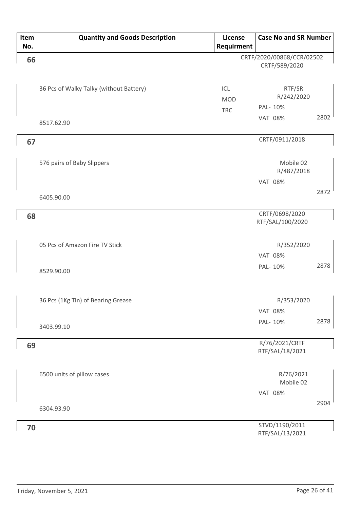| Item | <b>Quantity and Goods Description</b>   | License    | <b>Case No and SR Number</b>       |      |
|------|-----------------------------------------|------------|------------------------------------|------|
| No.  |                                         | Requirment |                                    |      |
| 66   |                                         |            | CRTF/2020/00868/CCR/02502          |      |
|      |                                         |            | CRTF/589/2020                      |      |
|      |                                         |            |                                    |      |
|      | 36 Pcs of Walky Talky (without Battery) | ICL        | RTF/SR                             |      |
|      |                                         | <b>MOD</b> | R/242/2020                         |      |
|      |                                         | <b>TRC</b> | PAL- 10%                           |      |
|      | 8517.62.90                              |            | <b>VAT 08%</b>                     | 2802 |
|      |                                         |            |                                    |      |
| 67   |                                         |            | CRTF/0911/2018                     |      |
|      |                                         |            |                                    |      |
|      | 576 pairs of Baby Slippers              |            | Mobile 02                          |      |
|      |                                         |            | R/487/2018                         |      |
|      |                                         |            | <b>VAT 08%</b>                     |      |
|      | 6405.90.00                              |            |                                    | 2872 |
|      |                                         |            |                                    |      |
| 68   |                                         |            | CRTF/0698/2020<br>RTF/SAL/100/2020 |      |
|      |                                         |            |                                    |      |
|      | 05 Pcs of Amazon Fire TV Stick          |            | R/352/2020                         |      |
|      |                                         |            | <b>VAT 08%</b>                     |      |
|      |                                         |            |                                    | 2878 |
|      | 8529.90.00                              |            | PAL- 10%                           |      |
|      |                                         |            |                                    |      |
|      |                                         |            |                                    |      |
|      | 36 Pcs (1Kg Tin) of Bearing Grease      |            | R/353/2020                         |      |
|      |                                         |            | <b>VAT 08%</b>                     |      |
|      | 3403.99.10                              |            | PAL- 10%                           | 2878 |
|      |                                         |            |                                    |      |
| 69   |                                         |            | R/76/2021/CRTF<br>RTF/SAL/18/2021  |      |
|      |                                         |            |                                    |      |
|      | 6500 units of pillow cases              |            | R/76/2021                          |      |
|      |                                         |            | Mobile 02                          |      |
|      |                                         |            | <b>VAT 08%</b>                     |      |
|      |                                         |            |                                    | 2904 |
|      | 6304.93.90                              |            |                                    |      |
| 70   |                                         |            | STVD/1190/2011                     |      |
|      |                                         |            | RTF/SAL/13/2021                    |      |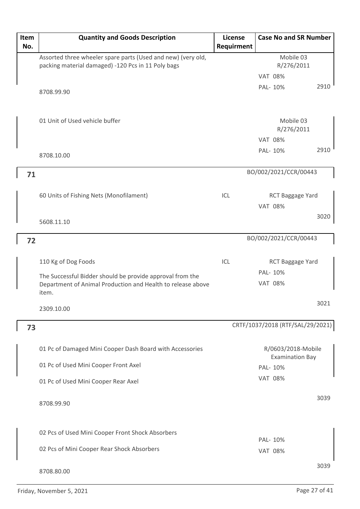| Item | <b>Quantity and Goods Description</b>                        | License    | <b>Case No and SR Number</b>     |      |
|------|--------------------------------------------------------------|------------|----------------------------------|------|
| No.  |                                                              | Requirment |                                  |      |
|      | Assorted three wheeler spare parts (Used and new) (very old, |            | Mobile 03                        |      |
|      | packing material damaged) -120 Pcs in 11 Poly bags           |            | R/276/2011<br><b>VAT 08%</b>     |      |
|      |                                                              |            | PAL-10%                          | 2910 |
|      | 8708.99.90                                                   |            |                                  |      |
|      |                                                              |            |                                  |      |
|      | 01 Unit of Used vehicle buffer                               |            | Mobile 03                        |      |
|      |                                                              |            | R/276/2011                       |      |
|      |                                                              |            | <b>VAT 08%</b>                   |      |
|      | 8708.10.00                                                   |            | PAL-10%                          | 2910 |
|      |                                                              |            |                                  |      |
| 71   |                                                              |            | BO/002/2021/CCR/00443            |      |
|      |                                                              |            |                                  |      |
|      | 60 Units of Fishing Nets (Monofilament)                      | ICL        | RCT Baggage Yard                 |      |
|      |                                                              |            | <b>VAT 08%</b>                   | 3020 |
|      | 5608.11.10                                                   |            |                                  |      |
| 72   |                                                              |            | BO/002/2021/CCR/00443            |      |
|      |                                                              |            |                                  |      |
|      | 110 Kg of Dog Foods                                          | ICL        | RCT Baggage Yard                 |      |
|      | The Successful Bidder should be provide approval from the    |            | PAL- 10%                         |      |
|      | Department of Animal Production and Health to release above  |            | <b>VAT 08%</b>                   |      |
|      | item.                                                        |            |                                  |      |
|      | 2309.10.00                                                   |            |                                  | 3021 |
|      |                                                              |            | CRTF/1037/2018 (RTF/SAL/29/2021) |      |
| 73   |                                                              |            |                                  |      |
|      | 01 Pc of Damaged Mini Cooper Dash Board with Accessories     |            | R/0603/2018-Mobile               |      |
|      |                                                              |            | <b>Examination Bay</b>           |      |
|      | 01 Pc of Used Mini Cooper Front Axel                         |            | PAL- 10%                         |      |
|      | 01 Pc of Used Mini Cooper Rear Axel                          |            | <b>VAT 08%</b>                   |      |
|      |                                                              |            |                                  | 3039 |
|      | 8708.99.90                                                   |            |                                  |      |
|      |                                                              |            |                                  |      |
|      | 02 Pcs of Used Mini Cooper Front Shock Absorbers             |            |                                  |      |
|      |                                                              |            | PAL- 10%                         |      |
|      | 02 Pcs of Mini Cooper Rear Shock Absorbers                   |            | <b>VAT 08%</b>                   |      |
|      |                                                              |            |                                  | 3039 |
|      | 8708.80.00                                                   |            |                                  |      |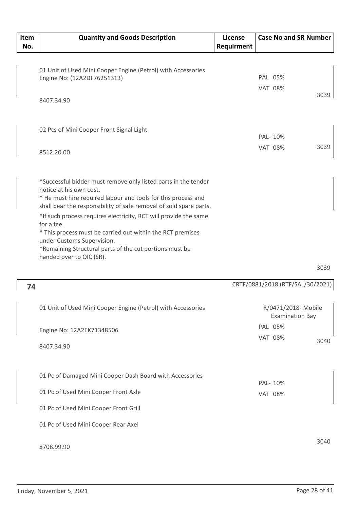| Item<br>No. | <b>Quantity and Goods Description</b>                                                                                                                                                                                                 | License<br>Requirment | <b>Case No and SR Number</b>                  |      |
|-------------|---------------------------------------------------------------------------------------------------------------------------------------------------------------------------------------------------------------------------------------|-----------------------|-----------------------------------------------|------|
|             | 01 Unit of Used Mini Cooper Engine (Petrol) with Accessories<br>Engine No: (12A2DF76251313)                                                                                                                                           |                       | PAL 05%<br><b>VAT 08%</b>                     |      |
|             | 8407.34.90                                                                                                                                                                                                                            |                       |                                               | 3039 |
|             | 02 Pcs of Mini Cooper Front Signal Light                                                                                                                                                                                              |                       | PAL- 10%                                      |      |
|             | 8512.20.00                                                                                                                                                                                                                            |                       | <b>VAT 08%</b>                                | 3039 |
|             | *Successful bidder must remove only listed parts in the tender<br>notice at his own cost.<br>* He must hire required labour and tools for this process and<br>shall bear the responsibility of safe removal of sold spare parts.      |                       |                                               |      |
|             | *If such process requires electricity, RCT will provide the same<br>for a fee.<br>* This process must be carried out within the RCT premises<br>under Customs Supervision.<br>*Remaining Structural parts of the cut portions must be |                       |                                               |      |
|             | handed over to OIC (SR).                                                                                                                                                                                                              |                       |                                               | 3039 |
| 74          |                                                                                                                                                                                                                                       |                       | CRTF/0881/2018 (RTF/SAL/30/20                 |      |
|             | 01 Unit of Used Mini Cooper Engine (Petrol) with Accessories                                                                                                                                                                          |                       | R/0471/2018- Mobile<br><b>Examination Bay</b> |      |
|             | Engine No: 12A2EK71348506                                                                                                                                                                                                             |                       | PAL 05%<br><b>VAT 08%</b>                     |      |
|             | 8407.34.90                                                                                                                                                                                                                            |                       |                                               | 3040 |

| 74                                                           | CRTF/0881/2018 (RTF/SAL/30/2021)              |  |  |
|--------------------------------------------------------------|-----------------------------------------------|--|--|
| 01 Unit of Used Mini Cooper Engine (Petrol) with Accessories | R/0471/2018- Mobile<br><b>Examination Bay</b> |  |  |
| Engine No: 12A2EK71348506                                    | PAL 05%                                       |  |  |
| 8407.34.90                                                   | <b>VAT 08%</b><br>3040                        |  |  |
| 01 Pc of Damaged Mini Cooper Dash Board with Accessories     | PAL-10%                                       |  |  |
| 01 Pc of Used Mini Cooper Front Axle                         | <b>VAT 08%</b>                                |  |  |
| 01 Pc of Used Mini Cooper Front Grill                        |                                               |  |  |
| 01 Pc of Used Mini Cooper Rear Axel                          |                                               |  |  |
| 8708.99.90                                                   | 3040                                          |  |  |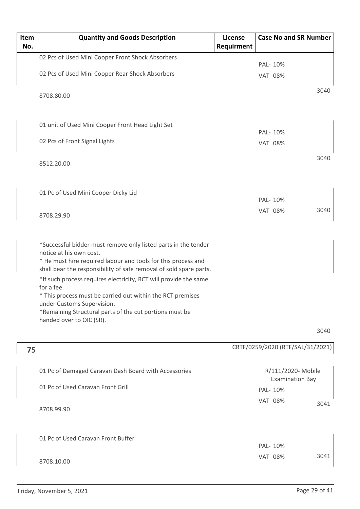| Item | <b>Quantity and Goods Description</b>                                                                                                                                                                                                                                                                                                                                                                                                                                                                 | License    | <b>Case No and SR Number</b>                 |      |
|------|-------------------------------------------------------------------------------------------------------------------------------------------------------------------------------------------------------------------------------------------------------------------------------------------------------------------------------------------------------------------------------------------------------------------------------------------------------------------------------------------------------|------------|----------------------------------------------|------|
| No.  |                                                                                                                                                                                                                                                                                                                                                                                                                                                                                                       | Requirment |                                              |      |
|      | 02 Pcs of Used Mini Cooper Front Shock Absorbers                                                                                                                                                                                                                                                                                                                                                                                                                                                      |            | PAL- 10%                                     |      |
|      | 02 Pcs of Used Mini Cooper Rear Shock Absorbers                                                                                                                                                                                                                                                                                                                                                                                                                                                       |            | <b>VAT 08%</b>                               |      |
|      | 8708.80.00                                                                                                                                                                                                                                                                                                                                                                                                                                                                                            |            |                                              | 3040 |
|      | 01 unit of Used Mini Cooper Front Head Light Set                                                                                                                                                                                                                                                                                                                                                                                                                                                      |            |                                              |      |
|      | 02 Pcs of Front Signal Lights                                                                                                                                                                                                                                                                                                                                                                                                                                                                         |            | PAL- 10%<br><b>VAT 08%</b>                   |      |
|      | 8512.20.00                                                                                                                                                                                                                                                                                                                                                                                                                                                                                            |            |                                              | 3040 |
|      | 01 Pc of Used Mini Cooper Dicky Lid                                                                                                                                                                                                                                                                                                                                                                                                                                                                   |            | PAL- 10%                                     |      |
|      | 8708.29.90                                                                                                                                                                                                                                                                                                                                                                                                                                                                                            |            | <b>VAT 08%</b>                               | 3040 |
|      | *Successful bidder must remove only listed parts in the tender<br>notice at his own cost.<br>* He must hire required labour and tools for this process and<br>shall bear the responsibility of safe removal of sold spare parts.<br>*If such process requires electricity, RCT will provide the same<br>for a fee.<br>* This process must be carried out within the RCT premises<br>under Customs Supervision.<br>*Remaining Structural parts of the cut portions must be<br>handed over to OIC (SR). |            |                                              |      |
|      |                                                                                                                                                                                                                                                                                                                                                                                                                                                                                                       |            |                                              | 3040 |
| 75   |                                                                                                                                                                                                                                                                                                                                                                                                                                                                                                       |            | CRTF/0259/2020 (RTF/SAL/31/2021)             |      |
|      | 01 Pc of Damaged Caravan Dash Board with Accessories                                                                                                                                                                                                                                                                                                                                                                                                                                                  |            | R/111/2020- Mobile<br><b>Examination Bay</b> |      |
|      | 01 Pc of Used Caravan Front Grill                                                                                                                                                                                                                                                                                                                                                                                                                                                                     |            | PAL- 10%                                     |      |
|      | 8708.99.90                                                                                                                                                                                                                                                                                                                                                                                                                                                                                            |            | <b>VAT 08%</b>                               | 3041 |
|      | 01 Pc of Used Caravan Front Buffer                                                                                                                                                                                                                                                                                                                                                                                                                                                                    |            | PAL- 10%                                     |      |
|      | 8708.10.00                                                                                                                                                                                                                                                                                                                                                                                                                                                                                            |            | <b>VAT 08%</b>                               | 3041 |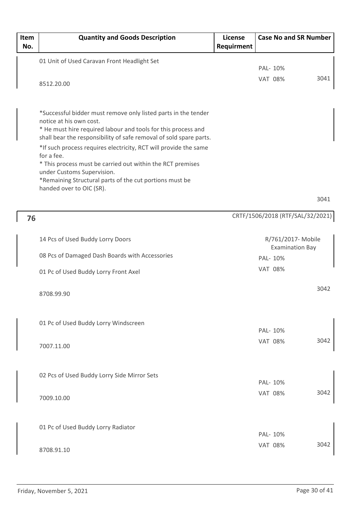| Item<br>No. | <b>Quantity and Goods Description</b>                                                                                                                          | <b>License</b><br>Requirment | <b>Case No and SR Number</b>     |      |
|-------------|----------------------------------------------------------------------------------------------------------------------------------------------------------------|------------------------------|----------------------------------|------|
|             | 01 Unit of Used Caravan Front Headlight Set                                                                                                                    |                              |                                  |      |
|             |                                                                                                                                                                |                              | PAL- 10%                         |      |
|             | 8512.20.00                                                                                                                                                     |                              | <b>VAT 08%</b>                   | 3041 |
|             |                                                                                                                                                                |                              |                                  |      |
|             | *Successful bidder must remove only listed parts in the tender                                                                                                 |                              |                                  |      |
|             | notice at his own cost.<br>* He must hire required labour and tools for this process and<br>shall bear the responsibility of safe removal of sold spare parts. |                              |                                  |      |
|             | *If such process requires electricity, RCT will provide the same<br>for a fee.                                                                                 |                              |                                  |      |
|             | * This process must be carried out within the RCT premises<br>under Customs Supervision.                                                                       |                              |                                  |      |
|             | *Remaining Structural parts of the cut portions must be<br>handed over to OIC (SR).                                                                            |                              |                                  |      |
|             |                                                                                                                                                                |                              |                                  | 3041 |
| 76          |                                                                                                                                                                |                              | CRTF/1506/2018 (RTF/SAL/32/2021) |      |
|             | 14 Pcs of Used Buddy Lorry Doors                                                                                                                               |                              | R/761/2017- Mobile               |      |
|             |                                                                                                                                                                |                              | <b>Examination Bay</b>           |      |
|             | 08 Pcs of Damaged Dash Boards with Accessories                                                                                                                 |                              | PAL- 10%                         |      |
|             | 01 Pc of Used Buddy Lorry Front Axel                                                                                                                           |                              | <b>VAT 08%</b>                   |      |
|             | 8708.99.90                                                                                                                                                     |                              |                                  | 3042 |
|             |                                                                                                                                                                |                              |                                  |      |
|             | 01 Pc of Used Buddy Lorry Windscreen                                                                                                                           |                              | PAL- 10%                         |      |
|             |                                                                                                                                                                |                              | <b>VAT 08%</b>                   | 3042 |
|             | 7007.11.00                                                                                                                                                     |                              |                                  |      |
|             | 02 Pcs of Used Buddy Lorry Side Mirror Sets                                                                                                                    |                              |                                  |      |
|             |                                                                                                                                                                |                              | PAL- 10%                         |      |
|             | 7009.10.00                                                                                                                                                     |                              | <b>VAT 08%</b>                   | 3042 |
|             |                                                                                                                                                                |                              |                                  |      |
|             | 01 Pc of Used Buddy Lorry Radiator                                                                                                                             |                              | PAL- 10%                         |      |
|             |                                                                                                                                                                |                              | <b>VAT 08%</b>                   | 3042 |
|             | 8708.91.10                                                                                                                                                     |                              |                                  |      |

 $\mathbf I$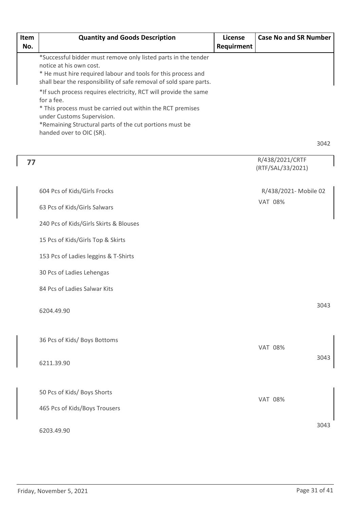| Item | <b>Quantity and Goods Description</b>                                                                                                                                                                                                                             | License    | <b>Case No and SR Number</b>         |      |
|------|-------------------------------------------------------------------------------------------------------------------------------------------------------------------------------------------------------------------------------------------------------------------|------------|--------------------------------------|------|
| No.  |                                                                                                                                                                                                                                                                   | Requirment |                                      |      |
|      | *Successful bidder must remove only listed parts in the tender<br>notice at his own cost.<br>* He must hire required labour and tools for this process and<br>shall bear the responsibility of safe removal of sold spare parts.                                  |            |                                      |      |
|      | *If such process requires electricity, RCT will provide the same<br>for a fee.<br>* This process must be carried out within the RCT premises<br>under Customs Supervision.<br>*Remaining Structural parts of the cut portions must be<br>handed over to OIC (SR). |            |                                      |      |
|      |                                                                                                                                                                                                                                                                   |            |                                      | 3042 |
| 77   |                                                                                                                                                                                                                                                                   |            | R/438/2021/CRTF<br>(RTF/SAL/33/2021) |      |
|      | 604 Pcs of Kids/Girls Frocks                                                                                                                                                                                                                                      |            | R/438/2021- Mobile 02                |      |
|      | 63 Pcs of Kids/Girls Salwars                                                                                                                                                                                                                                      |            | <b>VAT 08%</b>                       |      |
|      | 240 Pcs of Kids/Girls Skirts & Blouses                                                                                                                                                                                                                            |            |                                      |      |
|      | 15 Pcs of Kids/Girls Top & Skirts                                                                                                                                                                                                                                 |            |                                      |      |
|      | 153 Pcs of Ladies leggins & T-Shirts                                                                                                                                                                                                                              |            |                                      |      |
|      | 30 Pcs of Ladies Lehengas                                                                                                                                                                                                                                         |            |                                      |      |
|      | 84 Pcs of Ladies Salwar Kits                                                                                                                                                                                                                                      |            |                                      |      |
|      | 6204.49.90                                                                                                                                                                                                                                                        |            |                                      | 3043 |
|      | 36 Pcs of Kids/ Boys Bottoms                                                                                                                                                                                                                                      |            | <b>VAT 08%</b>                       |      |
|      | 6211.39.90                                                                                                                                                                                                                                                        |            |                                      | 3043 |
|      | 50 Pcs of Kids/ Boys Shorts                                                                                                                                                                                                                                       |            | <b>VAT 08%</b>                       |      |
|      | 465 Pcs of Kids/Boys Trousers                                                                                                                                                                                                                                     |            |                                      |      |

6203.49.90

3043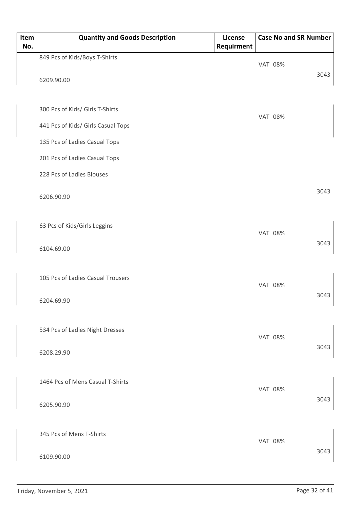| Item | <b>Quantity and Goods Description</b> | License    | <b>Case No and SR Number</b> |      |
|------|---------------------------------------|------------|------------------------------|------|
| No.  |                                       | Requirment |                              |      |
|      | 849 Pcs of Kids/Boys T-Shirts         |            | <b>VAT 08%</b>               |      |
|      | 6209.90.00                            |            |                              | 3043 |
|      | 300 Pcs of Kids/ Girls T-Shirts       |            | <b>VAT 08%</b>               |      |
|      | 441 Pcs of Kids/ Girls Casual Tops    |            |                              |      |
|      | 135 Pcs of Ladies Casual Tops         |            |                              |      |
|      | 201 Pcs of Ladies Casual Tops         |            |                              |      |
|      | 228 Pcs of Ladies Blouses             |            |                              |      |
|      | 6206.90.90                            |            |                              | 3043 |
|      | 63 Pcs of Kids/Girls Leggins          |            | <b>VAT 08%</b>               |      |
|      | 6104.69.00                            |            |                              | 3043 |
|      | 105 Pcs of Ladies Casual Trousers     |            | <b>VAT 08%</b>               |      |
|      | 6204.69.90                            |            |                              | 3043 |
|      | 534 Pcs of Ladies Night Dresses       |            | <b>VAT 08%</b>               |      |
|      | 6208.29.90                            |            |                              | 3043 |
|      | 1464 Pcs of Mens Casual T-Shirts      |            | <b>VAT 08%</b>               |      |
|      | 6205.90.90                            |            |                              | 3043 |
|      |                                       |            |                              |      |
|      | 345 Pcs of Mens T-Shirts              |            | <b>VAT 08%</b>               | 3043 |
|      | 6109.90.00                            |            |                              |      |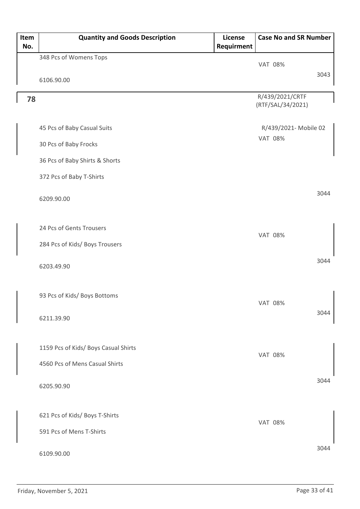| Item | <b>Quantity and Goods Description</b> | License    | <b>Case No and SR Number</b> |
|------|---------------------------------------|------------|------------------------------|
| No.  |                                       | Requirment |                              |
|      | 348 Pcs of Womens Tops                |            | <b>VAT 08%</b>               |
|      |                                       |            | 3043                         |
|      | 6106.90.00                            |            |                              |
| 78   |                                       |            | R/439/2021/CRTF              |
|      |                                       |            | (RTF/SAL/34/2021)            |
|      | 45 Pcs of Baby Casual Suits           |            | R/439/2021- Mobile 02        |
|      |                                       |            | <b>VAT 08%</b>               |
|      | 30 Pcs of Baby Frocks                 |            |                              |
|      | 36 Pcs of Baby Shirts & Shorts        |            |                              |
|      | 372 Pcs of Baby T-Shirts              |            |                              |
|      |                                       |            |                              |
|      | 6209.90.00                            |            | 3044                         |
|      |                                       |            |                              |
|      | 24 Pcs of Gents Trousers              |            |                              |
|      |                                       |            | <b>VAT 08%</b>               |
|      | 284 Pcs of Kids/ Boys Trousers        |            |                              |
|      |                                       |            | 3044                         |
|      | 6203.49.90                            |            |                              |
|      |                                       |            |                              |
|      | 93 Pcs of Kids/ Boys Bottoms          |            |                              |
|      |                                       |            | <b>VAT 08%</b><br>3044       |
|      | 6211.39.90                            |            |                              |
|      |                                       |            |                              |
|      | 1159 Pcs of Kids/ Boys Casual Shirts  |            |                              |
|      | 4560 Pcs of Mens Casual Shirts        |            | <b>VAT 08%</b>               |
|      |                                       |            |                              |
|      | 6205.90.90                            |            | 3044                         |
|      |                                       |            |                              |
|      |                                       |            |                              |
|      | 621 Pcs of Kids/ Boys T-Shirts        |            | <b>VAT 08%</b>               |
|      | 591 Pcs of Mens T-Shirts              |            |                              |
|      |                                       |            | 3044                         |
|      | 6109.90.00                            |            |                              |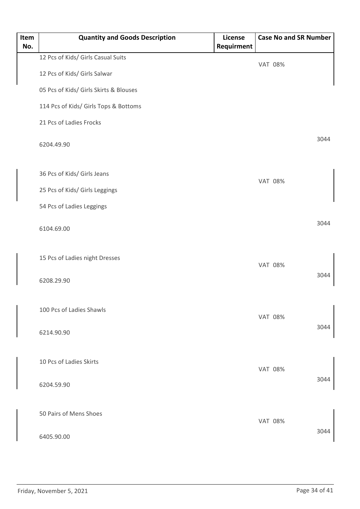| Item<br>No. | <b>Quantity and Goods Description</b>  | License<br>Requirment | <b>Case No and SR Number</b> |      |
|-------------|----------------------------------------|-----------------------|------------------------------|------|
|             | 12 Pcs of Kids/ Girls Casual Suits     |                       | <b>VAT 08%</b>               |      |
|             | 12 Pcs of Kids/ Girls Salwar           |                       |                              |      |
|             | 05 Pcs of Kids/ Girls Skirts & Blouses |                       |                              |      |
|             | 114 Pcs of Kids/ Girls Tops & Bottoms  |                       |                              |      |
|             | 21 Pcs of Ladies Frocks                |                       |                              |      |
|             | 6204.49.90                             |                       |                              | 3044 |
|             | 36 Pcs of Kids/ Girls Jeans            |                       |                              |      |
|             | 25 Pcs of Kids/ Girls Leggings         |                       | <b>VAT 08%</b>               |      |
|             | 54 Pcs of Ladies Leggings              |                       |                              |      |
|             | 6104.69.00                             |                       |                              | 3044 |
|             | 15 Pcs of Ladies night Dresses         |                       | <b>VAT 08%</b>               |      |
|             | 6208.29.90                             |                       |                              | 3044 |
|             | 100 Pcs of Ladies Shawls               |                       | <b>VAT 08%</b>               |      |
|             | 6214.90.90                             |                       |                              | 3044 |
|             | 10 Pcs of Ladies Skirts                |                       | <b>VAT 08%</b>               |      |
|             | 6204.59.90                             |                       |                              | 3044 |
|             | 50 Pairs of Mens Shoes                 |                       | <b>VAT 08%</b>               |      |
|             | 6405.90.00                             |                       |                              | 3044 |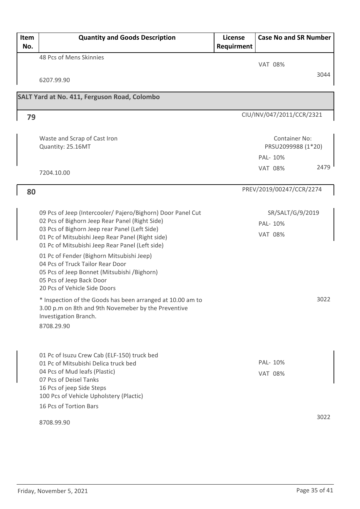| Item<br>No. | <b>Quantity and Goods Description</b>                                                                         | License<br>Requirment | <b>Case No and SR Number</b> |      |
|-------------|---------------------------------------------------------------------------------------------------------------|-----------------------|------------------------------|------|
|             | 48 Pcs of Mens Skinnies                                                                                       |                       |                              |      |
|             |                                                                                                               |                       | <b>VAT 08%</b>               |      |
|             | 6207.99.90                                                                                                    |                       |                              | 3044 |
|             |                                                                                                               |                       |                              |      |
|             | SALT Yard at No. 411, Ferguson Road, Colombo                                                                  |                       |                              |      |
| 79          |                                                                                                               |                       | CIU/INV/047/2011/CCR/2321    |      |
|             |                                                                                                               |                       |                              |      |
|             | Waste and Scrap of Cast Iron                                                                                  |                       | <b>Container No:</b>         |      |
|             | Quantity: 25.16MT                                                                                             |                       | PRSU2099988 (1*20)           |      |
|             |                                                                                                               |                       | PAL-10%                      |      |
|             | 7204.10.00                                                                                                    |                       | <b>VAT 08%</b>               | 2479 |
|             |                                                                                                               |                       |                              |      |
| 80          |                                                                                                               |                       | PREV/2019/00247/CCR/2274     |      |
|             |                                                                                                               |                       |                              |      |
|             | 09 Pcs of Jeep (Intercooler/ Pajero/Bighorn) Door Panel Cut<br>02 Pcs of Bighorn Jeep Rear Panel (Right Side) |                       | SR/SALT/G/9/2019             |      |
|             | 03 Pcs of Bighorn Jeep rear Panel (Left Side)                                                                 |                       | PAL-10%                      |      |
|             | 01 Pc of Mitsubishi Jeep Rear Panel (Right side)<br>01 Pc of Mitsubishi Jeep Rear Panel (Left side)           |                       | <b>VAT 08%</b>               |      |
|             | 01 Pc of Fender (Bighorn Mitsubishi Jeep)                                                                     |                       |                              |      |
|             | 04 Pcs of Truck Tailor Rear Door                                                                              |                       |                              |      |
|             | 05 Pcs of Jeep Bonnet (Mitsubishi /Bighorn)<br>05 Pcs of Jeep Back Door                                       |                       |                              |      |
|             | 20 Pcs of Vehicle Side Doors                                                                                  |                       |                              |      |
|             | * Inspection of the Goods has been arranged at 10.00 am to                                                    |                       |                              | 3022 |
|             | 3.00 p.m on 8th and 9th Novemeber by the Preventive                                                           |                       |                              |      |
|             | Investigation Branch.                                                                                         |                       |                              |      |
|             | 8708.29.90                                                                                                    |                       |                              |      |
|             |                                                                                                               |                       |                              |      |
|             | 01 Pc of Isuzu Crew Cab (ELF-150) truck bed                                                                   |                       |                              |      |
|             | 01 Pc of Mitsubishi Delica truck bed<br>04 Pcs of Mud leafs (Plastic)                                         |                       | PAL-10%                      |      |
|             | 07 Pcs of Deisel Tanks                                                                                        |                       | <b>VAT 08%</b>               |      |
|             | 16 Pcs of jeep Side Steps                                                                                     |                       |                              |      |
|             | 100 Pcs of Vehicle Upholstery (Plactic)                                                                       |                       |                              |      |
|             | 16 Pcs of Tortion Bars                                                                                        |                       |                              |      |
|             | 8708.99.90                                                                                                    |                       |                              | 3022 |
|             |                                                                                                               |                       |                              |      |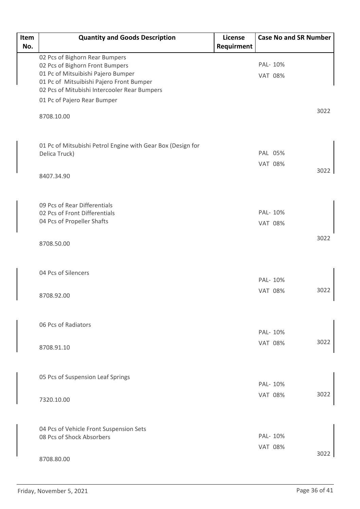| Item | <b>Quantity and Goods Description</b>                       | License    | <b>Case No and SR Number</b> |      |
|------|-------------------------------------------------------------|------------|------------------------------|------|
| No.  |                                                             | Requirment |                              |      |
|      | 02 Pcs of Bighorn Rear Bumpers                              |            |                              |      |
|      | 02 Pcs of Bighorn Front Bumpers                             |            | PAL- 10%                     |      |
|      | 01 Pc of Mitsuibishi Pajero Bumper                          |            | <b>VAT 08%</b>               |      |
|      | 01 Pc of Mitsuibishi Pajero Front Bumper                    |            |                              |      |
|      | 02 Pcs of Mitubishi Intercooler Rear Bumpers                |            |                              |      |
|      | 01 Pc of Pajero Rear Bumper                                 |            |                              |      |
|      | 8708.10.00                                                  |            |                              | 3022 |
|      | 01 Pc of Mitsubishi Petrol Engine with Gear Box (Design for |            |                              |      |
|      | Delica Truck)                                               |            | PAL 05%                      |      |
|      |                                                             |            | <b>VAT 08%</b>               |      |
|      | 8407.34.90                                                  |            |                              | 3022 |
|      | 09 Pcs of Rear Differentials                                |            |                              |      |
|      | 02 Pcs of Front Differentials                               |            | PAL- 10%                     |      |
|      | 04 Pcs of Propeller Shafts                                  |            | <b>VAT 08%</b>               |      |
|      | 8708.50.00                                                  |            |                              | 3022 |
|      | 04 Pcs of Silencers                                         |            | PAL- 10%                     |      |
|      |                                                             |            |                              |      |
|      | 8708.92.00                                                  |            | <b>VAT 08%</b>               | 3022 |
|      | 06 Pcs of Radiators                                         |            |                              |      |
|      |                                                             |            | PAL- 10%                     |      |
|      | 8708.91.10                                                  |            | <b>VAT 08%</b>               | 3022 |
|      | 05 Pcs of Suspension Leaf Springs                           |            |                              |      |
|      |                                                             |            | PAL- 10%                     |      |
|      | 7320.10.00                                                  |            | <b>VAT 08%</b>               | 3022 |
|      |                                                             |            |                              |      |
|      | 04 Pcs of Vehicle Front Suspension Sets                     |            |                              |      |
|      | 08 Pcs of Shock Absorbers                                   |            | PAL- 10%                     |      |
|      |                                                             |            | <b>VAT 08%</b>               |      |
|      | 8708.80.00                                                  |            |                              | 3022 |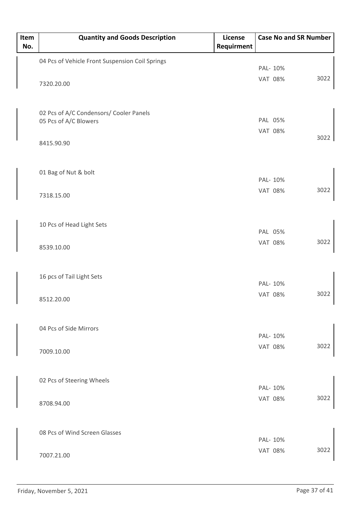| Item<br>No. | <b>Quantity and Goods Description</b>           | License<br>Requirment |                | <b>Case No and SR Number</b> |      |
|-------------|-------------------------------------------------|-----------------------|----------------|------------------------------|------|
|             | 04 Pcs of Vehicle Front Suspension Coil Springs |                       |                |                              |      |
|             |                                                 |                       | PAL- 10%       |                              |      |
|             | 7320.20.00                                      |                       | <b>VAT 08%</b> |                              | 3022 |
|             |                                                 |                       |                |                              |      |
|             | 02 Pcs of A/C Condensors/ Cooler Panels         |                       |                |                              |      |
|             | 05 Pcs of A/C Blowers                           |                       | PAL 05%        |                              |      |
|             |                                                 |                       | <b>VAT 08%</b> |                              | 3022 |
|             | 8415.90.90                                      |                       |                |                              |      |
|             | 01 Bag of Nut & bolt                            |                       |                |                              |      |
|             |                                                 |                       | PAL- 10%       |                              |      |
|             | 7318.15.00                                      |                       | <b>VAT 08%</b> |                              | 3022 |
|             |                                                 |                       |                |                              |      |
|             | 10 Pcs of Head Light Sets                       |                       | PAL 05%        |                              |      |
|             |                                                 |                       | <b>VAT 08%</b> |                              | 3022 |
|             | 8539.10.00                                      |                       |                |                              |      |
|             | 16 pcs of Tail Light Sets                       |                       |                |                              |      |
|             |                                                 |                       | PAL- 10%       |                              |      |
|             | 8512.20.00                                      |                       | <b>VAT 08%</b> |                              | 3022 |
|             | 04 Pcs of Side Mirrors                          |                       |                |                              |      |
|             |                                                 |                       | PAL- 10%       |                              |      |
|             | 7009.10.00                                      |                       | <b>VAT 08%</b> |                              | 3022 |
|             |                                                 |                       |                |                              |      |
|             | 02 Pcs of Steering Wheels                       |                       |                |                              |      |
|             |                                                 |                       | PAL- 10%       |                              |      |
|             | 8708.94.00                                      |                       | <b>VAT 08%</b> |                              | 3022 |
|             | 08 Pcs of Wind Screen Glasses                   |                       |                |                              |      |
|             |                                                 |                       | PAL- 10%       |                              |      |
|             | 7007.21.00                                      |                       | <b>VAT 08%</b> |                              | 3022 |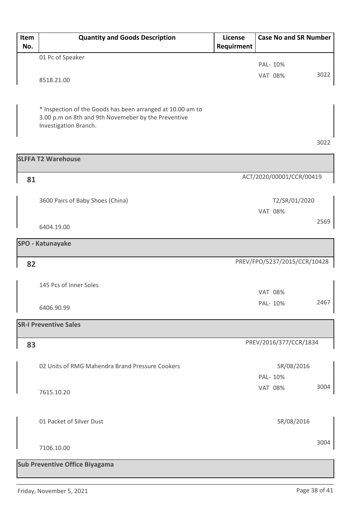| Item | <b>Quantity and Goods Description</b>                                                                             | License    | <b>Case No and SR Number</b> |      |
|------|-------------------------------------------------------------------------------------------------------------------|------------|------------------------------|------|
| No.  |                                                                                                                   | Requirment |                              |      |
|      | 01 Pc of Speaker                                                                                                  |            | PAL- 10%                     |      |
|      |                                                                                                                   |            | <b>VAT 08%</b>               | 3022 |
|      | 8518.21.00                                                                                                        |            |                              |      |
|      |                                                                                                                   |            |                              |      |
|      |                                                                                                                   |            |                              |      |
|      | * Inspection of the Goods has been arranged at 10.00 am to<br>3.00 p.m on 8th and 9th Novemeber by the Preventive |            |                              |      |
|      | Investigation Branch.                                                                                             |            |                              |      |
|      |                                                                                                                   |            |                              |      |
|      |                                                                                                                   |            |                              | 3022 |
|      | <b>SLFFA T2 Warehouse</b>                                                                                         |            |                              |      |
|      |                                                                                                                   |            |                              |      |
| 81   |                                                                                                                   |            | ACT/2020/00001/CCR/00419     |      |
|      |                                                                                                                   |            |                              |      |
|      | 3600 Pairs of Baby Shoes (China)                                                                                  |            | T2/SR/01/2020                |      |
|      |                                                                                                                   |            | <b>VAT 08%</b>               |      |
|      | 6404.19.00                                                                                                        |            |                              | 2569 |
|      |                                                                                                                   |            |                              |      |
|      | <b>SPO - Katunayake</b>                                                                                           |            |                              |      |
| 82   |                                                                                                                   |            | PREV/FPO/5237/2015/CCR/10428 |      |
|      |                                                                                                                   |            |                              |      |
|      | 145 Pcs of Inner Soles                                                                                            |            |                              |      |
|      |                                                                                                                   |            | <b>VAT 08%</b>               |      |
|      | 6406.90.99                                                                                                        |            | PAL- 10%                     | 2467 |
|      |                                                                                                                   |            |                              |      |
|      | <b>SR-I Preventive Sales</b>                                                                                      |            |                              |      |
| 83   |                                                                                                                   |            | PREV/2016/377/CCR/1834       |      |
|      |                                                                                                                   |            |                              |      |
|      | 02 Units of RMG Mahendra Brand Pressure Cookers                                                                   |            | SR/08/2016                   |      |
|      |                                                                                                                   |            | PAL- 10%                     |      |
|      |                                                                                                                   |            | <b>VAT 08%</b>               | 3004 |
|      | 7615.10.20                                                                                                        |            |                              |      |
|      |                                                                                                                   |            |                              |      |
|      | 01 Packet of Silver Dust                                                                                          |            | SR/08/2016                   |      |
|      |                                                                                                                   |            |                              |      |
|      |                                                                                                                   |            |                              | 3004 |
|      | 7106.10.00                                                                                                        |            |                              |      |
|      | <b>Sub Preventive Office Biyagama</b>                                                                             |            |                              |      |
|      |                                                                                                                   |            |                              |      |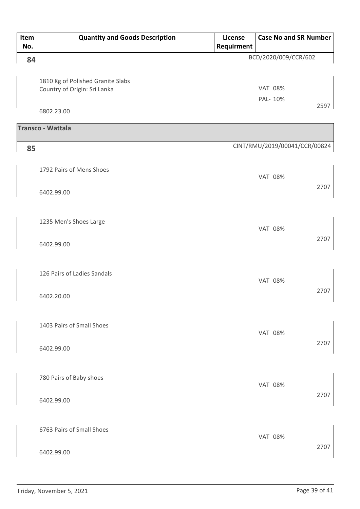| Item<br>No. | <b>Quantity and Goods Description</b>                             | License<br>Requirment | <b>Case No and SR Number</b>  |
|-------------|-------------------------------------------------------------------|-----------------------|-------------------------------|
| 84          |                                                                   |                       | BCD/2020/009/CCR/602          |
|             | 1810 Kg of Polished Granite Slabs<br>Country of Origin: Sri Lanka |                       | <b>VAT 08%</b><br>PAL- 10%    |
|             | 6802.23.00                                                        |                       | 2597                          |
|             | Transco - Wattala                                                 |                       |                               |
| 85          |                                                                   |                       | CINT/RMU/2019/00041/CCR/00824 |
|             | 1792 Pairs of Mens Shoes                                          |                       | <b>VAT 08%</b>                |
|             | 6402.99.00                                                        |                       | 2707                          |
|             | 1235 Men's Shoes Large                                            |                       | <b>VAT 08%</b>                |
|             | 6402.99.00                                                        |                       | 2707                          |
|             | 126 Pairs of Ladies Sandals<br>6402.20.00                         |                       | <b>VAT 08%</b><br>2707        |
|             | 1403 Pairs of Small Shoes<br>6402.99.00                           |                       | <b>VAT 08%</b><br>2707        |
|             | 780 Pairs of Baby shoes<br>6402.99.00                             |                       | <b>VAT 08%</b><br>2707        |
|             | 6763 Pairs of Small Shoes<br>6402.99.00                           |                       | <b>VAT 08%</b><br>2707        |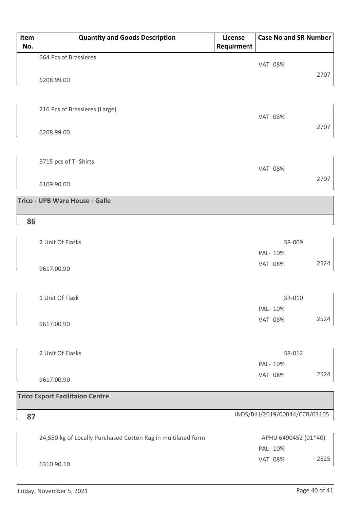| Item<br>No. | <b>Quantity and Goods Description</b> | License<br>Requirment | <b>Case No and SR Number</b> |
|-------------|---------------------------------------|-----------------------|------------------------------|
|             | 664 Pcs of Brassieres                 |                       | <b>VAT 08%</b>               |
|             | 6208.99.00                            |                       | 2707                         |
|             | 216 Pcs of Brassieres (Large)         |                       | <b>VAT 08%</b>               |
|             | 6208.99.00                            |                       | 2707                         |
|             | 5715 pcs of T- Shirts                 |                       | <b>VAT 08%</b>               |
|             | 6109.90.00                            |                       | 2707                         |
|             | <b>Trico - UPB Ware House - Galle</b> |                       |                              |

#### **86**

| 2 Unit Of Flasks | SR-009                 |
|------------------|------------------------|
|                  | PAL- 10%               |
| 9617.00.90       | 2524<br><b>VAT 08%</b> |
| 1 Unit Of Flask  | SR-010<br>PAL- 10%     |
| 9617.00.90       | 2524<br><b>VAT 08%</b> |

| 2 Unit Of Flasks | SR-012                 |
|------------------|------------------------|
|                  | PAL- 10%               |
| 9617.00.90       | 2524<br><b>VAT 08%</b> |

| <b>Trico Export Facilitaion Centre</b>                       |                                 |  |
|--------------------------------------------------------------|---------------------------------|--|
| 87                                                           | INDS/BIU/2019/00044/CCR/03105   |  |
| 24,550 kg of Locally Purchased Cotton Rag in multilated form | APHU 6490452 (01*40)<br>PAL-10% |  |
| 6310.90.10                                                   | 2825<br><b>VAT 08%</b>          |  |